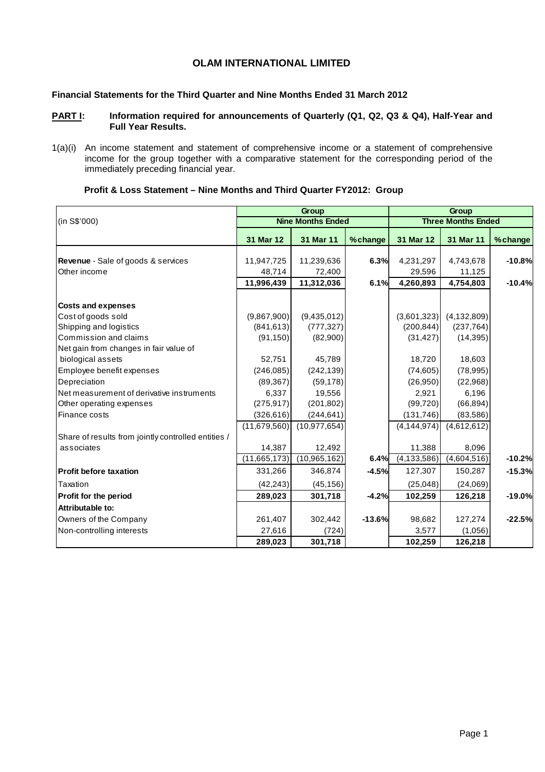# **OLAM INTERNATIONAL LIMITED**

# **Financial Statements for the Third Quarter and Nine Months Ended 31 March 2012**

### PART I: Information required for announcements of Quarterly (Q1, Q2, Q3 & Q4), Half-Year and **Full Year Results.**

1(a)(i) An income statement and statement of comprehensive income or a statement of comprehensive income for the group together with a comparative statement for the corresponding period of the immediately preceding financial year.

|                                                     |              | Group                    |          |               | Group                     |          |
|-----------------------------------------------------|--------------|--------------------------|----------|---------------|---------------------------|----------|
| (in S\$'000)                                        |              | <b>Nine Months Ended</b> |          |               | <b>Three Months Ended</b> |          |
|                                                     | 31 Mar 12    | 31 Mar 11                | %change  | 31 Mar 12     | 31 Mar 11                 | % change |
|                                                     |              |                          |          |               |                           |          |
| <b>Revenue</b> - Sale of goods & services           | 11,947,725   | 11,239,636               | 6.3%     | 4,231,297     | 4,743,678                 | $-10.8%$ |
| Other income                                        | 48,714       | 72,400                   |          | 29,596        | 11,125                    |          |
|                                                     | 11,996,439   | 11,312,036               | 6.1%     | 4,260,893     | 4,754,803                 | $-10.4%$ |
| <b>Costs and expenses</b>                           |              |                          |          |               |                           |          |
| Cost of goods sold                                  | (9,867,900)  | (9,435,012)              |          | (3,601,323)   | (4, 132, 809)             |          |
| Shipping and logistics                              | (841, 613)   | (777, 327)               |          | (200, 844)    | (237, 764)                |          |
| Commission and claims                               | (91, 150)    | (82,900)                 |          | (31, 427)     | (14, 395)                 |          |
| Net gain from changes in fair value of              |              |                          |          |               |                           |          |
| biological assets                                   | 52,751       | 45,789                   |          | 18,720        | 18,603                    |          |
| Employee benefit expenses                           | (246, 085)   | (242, 139)               |          | (74, 605)     | (78, 995)                 |          |
| Depreciation                                        | (89, 367)    | (59, 178)                |          | (26, 950)     | (22,968)                  |          |
| Net measurement of derivative instruments           | 6.337        | 19,556                   |          | 2,921         | 6,196                     |          |
| Other operating expenses                            | (275, 917)   | (201, 802)               |          | (99, 720)     | (66, 894)                 |          |
| Finance costs                                       | (326, 616)   | (244, 641)               |          | (131, 746)    | (83, 586)                 |          |
|                                                     | (11,679,560) | (10, 977, 654)           |          | (4, 144, 974) | (4,612,612)               |          |
| Share of results from jointly controlled entities / |              |                          |          |               |                           |          |
| associates                                          | 14,387       | 12,492                   |          | 11,388        | 8,096                     |          |
|                                                     | (11,665,173) | (10, 965, 162)           | 6.4%     | (4, 133, 586) | (4,604,516)               | $-10.2%$ |
| <b>Profit before taxation</b>                       | 331,266      | 346,874                  | $-4.5%$  | 127,307       | 150,287                   | $-15.3%$ |
| Taxation                                            | (42, 243)    | (45, 156)                |          | (25,048)      | (24,069)                  |          |
| Profit for the period                               | 289,023      | 301,718                  | $-4.2%$  | 102,259       | 126,218                   | $-19.0%$ |
| Attributable to:                                    |              |                          |          |               |                           |          |
| Owners of the Company                               | 261,407      | 302,442                  | $-13.6%$ | 98,682        | 127,274                   | $-22.5%$ |
| Non-controlling interests                           | 27,616       | (724)                    |          | 3,577         | (1,056)                   |          |
|                                                     | 289,023      | 301,718                  |          | 102,259       | 126,218                   |          |

# **Profit & Loss Statement – Nine Months and Third Quarter FY2012: Group**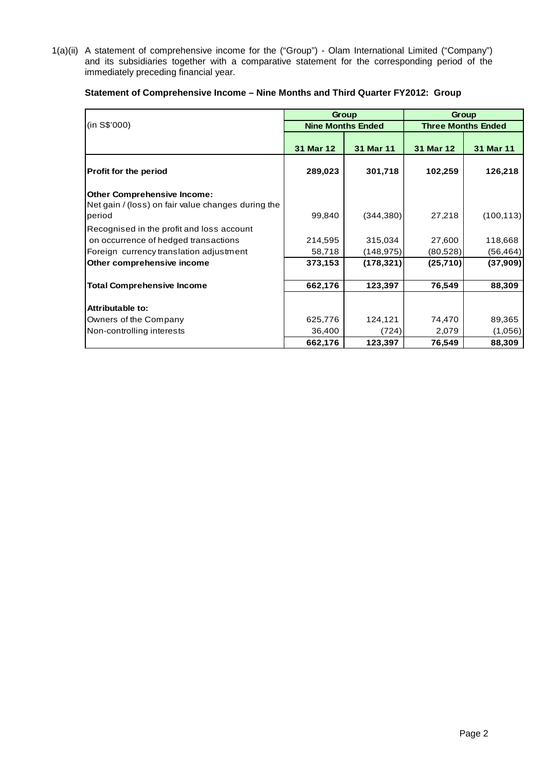1(a)(ii) A statement of comprehensive income for the ("Group") - Olam International Limited ("Company") and its subsidiaries together with a comparative statement for the corresponding period of the immediately preceding financial year.

|                                                                                                    |           | Group                    | Group     |                           |  |  |
|----------------------------------------------------------------------------------------------------|-----------|--------------------------|-----------|---------------------------|--|--|
| (in S\$'000)                                                                                       |           | <b>Nine Months Ended</b> |           | <b>Three Months Ended</b> |  |  |
|                                                                                                    | 31 Mar 12 | 31 Mar 11                | 31 Mar 12 | 31 Mar 11                 |  |  |
| <b>Profit for the period</b>                                                                       | 289,023   | 301,718                  | 102,259   | 126,218                   |  |  |
| <b>Other Comprehensive Income:</b><br>Net gain / (loss) on fair value changes during the<br>period | 99,840    | (344, 380)               | 27,218    | (100, 113)                |  |  |
| Recognised in the profit and loss account                                                          |           |                          |           |                           |  |  |
| on occurrence of hedged transactions                                                               | 214,595   | 315,034                  | 27,600    | 118,668                   |  |  |
| Foreign currency translation adjustment                                                            | 58,718    | (148, 975)               | (80,528)  | (56, 464)                 |  |  |
| Other comprehensive income                                                                         | 373,153   | (178, 321)               | (25, 710) | (37,909)                  |  |  |
| <b>Total Comprehensive Income</b>                                                                  | 662,176   | 123,397                  | 76,549    | 88,309                    |  |  |
| Attributable to:                                                                                   |           |                          |           |                           |  |  |
| Owners of the Company                                                                              | 625,776   | 124,121                  | 74,470    | 89,365                    |  |  |
| Non-controlling interests                                                                          | 36,400    | (724)                    | 2,079     | (1,056)                   |  |  |
|                                                                                                    | 662,176   | 123,397                  | 76,549    | 88,309                    |  |  |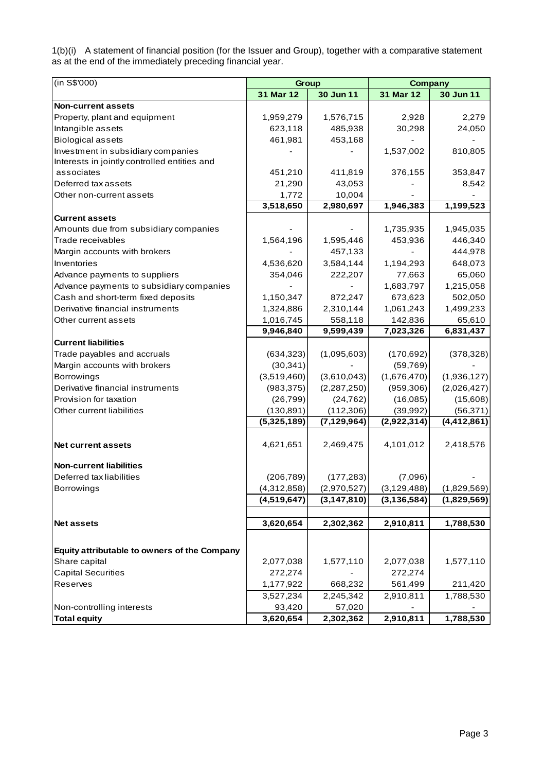1(b)(i) A statement of financial position (for the Issuer and Group), together with a comparative statement as at the end of the immediately preceding financial year.

| 31 Mar 12<br>30 Jun 11<br>30 Jun 11<br>31 Mar 12<br>1,576,715<br>2,928<br>2,279<br>1,959,279<br>623,118<br>485,938<br>30,298<br>24,050<br>461,981<br>453,168<br>1,537,002<br>810,805<br>associates<br>451,210<br>411,819<br>376,155<br>353,847<br>21,290<br>43,053<br>8,542<br>1,772<br>10,004<br>Other non-current assets<br>3,518,650<br>2,980,697<br>1,946,383<br>1,199,523<br><b>Current assets</b><br>1,735,935<br>1,945,035<br>Trade receivables<br>1,564,196<br>1,595,446<br>453,936<br>446,340<br>444,978<br>457,133<br>3,584,144<br>1,194,293<br>648,073<br>4,536,620<br>65,060<br>354,046<br>222,207<br>77,663<br>Advance payments to subsidiary companies<br>1,683,797<br>1,215,058<br>Cash and short-term fixed deposits<br>673,623<br>502,050<br>1,150,347<br>872,247<br>2,310,144<br>1,061,243<br>1,499,233<br>1,324,886<br>1,016,745<br>142,836<br>65,610<br>558,118<br>6,831,437<br>9,946,840<br>9,599,439<br>7,023,326<br>(1,095,603)<br>(634, 323)<br>(170, 692)<br>(378, 328)<br>(30, 341)<br>(59, 769)<br>(1,676,470)<br>(3,519,460)<br>(3,610,043)<br>(1,936,127)<br>(983, 375)<br>(2,287,250)<br>(959, 306)<br>(2,026,427)<br>(26, 799)<br>(24, 762)<br>(16,085)<br>(15,608)<br>(130, 891)<br>(112, 306)<br>(39,992)<br>Other current liabilities<br>(56, 371)<br>$\overline{(5,325,189)}$<br>(7, 129, 964)<br>$\overline{(4,412,861)}$<br>(2,922,314)<br>2,469,475<br>4,101,012<br>4,621,651<br>2,418,576<br><b>Non-current liabilities</b><br>Deferred tax liabilities<br>(206, 789)<br>(177, 283)<br>(7,096)<br>(4,312,858)<br>(2,970,527)<br>(3, 129, 488)<br>(1,829,569)<br>(4,519,647)<br>(3, 147, 810)<br>(3, 136, 584)<br>(1,829,569)<br>3,620,654<br>2,302,362<br>2,910,811<br>1,788,530<br><b>Net assets</b><br>Equity attributable to owners of the Company<br>Share capital<br>2,077,038<br>1,577,110<br>2,077,038<br>1,577,110<br><b>Capital Securities</b><br>272,274<br>272,274<br>Reserves<br>561,499<br>1,177,922<br>668,232<br>211,420 | (in S\$'000)                                 | Group     |           | <b>Company</b> |           |  |  |
|--------------------------------------------------------------------------------------------------------------------------------------------------------------------------------------------------------------------------------------------------------------------------------------------------------------------------------------------------------------------------------------------------------------------------------------------------------------------------------------------------------------------------------------------------------------------------------------------------------------------------------------------------------------------------------------------------------------------------------------------------------------------------------------------------------------------------------------------------------------------------------------------------------------------------------------------------------------------------------------------------------------------------------------------------------------------------------------------------------------------------------------------------------------------------------------------------------------------------------------------------------------------------------------------------------------------------------------------------------------------------------------------------------------------------------------------------------------------------------------------------------------------------------------------------------------------------------------------------------------------------------------------------------------------------------------------------------------------------------------------------------------------------------------------------------------------------------------------------------------------------------------------------------------------------------------------------------------------------------|----------------------------------------------|-----------|-----------|----------------|-----------|--|--|
|                                                                                                                                                                                                                                                                                                                                                                                                                                                                                                                                                                                                                                                                                                                                                                                                                                                                                                                                                                                                                                                                                                                                                                                                                                                                                                                                                                                                                                                                                                                                                                                                                                                                                                                                                                                                                                                                                                                                                                                |                                              |           |           |                |           |  |  |
|                                                                                                                                                                                                                                                                                                                                                                                                                                                                                                                                                                                                                                                                                                                                                                                                                                                                                                                                                                                                                                                                                                                                                                                                                                                                                                                                                                                                                                                                                                                                                                                                                                                                                                                                                                                                                                                                                                                                                                                | <b>Non-current assets</b>                    |           |           |                |           |  |  |
|                                                                                                                                                                                                                                                                                                                                                                                                                                                                                                                                                                                                                                                                                                                                                                                                                                                                                                                                                                                                                                                                                                                                                                                                                                                                                                                                                                                                                                                                                                                                                                                                                                                                                                                                                                                                                                                                                                                                                                                | Property, plant and equipment                |           |           |                |           |  |  |
|                                                                                                                                                                                                                                                                                                                                                                                                                                                                                                                                                                                                                                                                                                                                                                                                                                                                                                                                                                                                                                                                                                                                                                                                                                                                                                                                                                                                                                                                                                                                                                                                                                                                                                                                                                                                                                                                                                                                                                                | Intangible assets                            |           |           |                |           |  |  |
|                                                                                                                                                                                                                                                                                                                                                                                                                                                                                                                                                                                                                                                                                                                                                                                                                                                                                                                                                                                                                                                                                                                                                                                                                                                                                                                                                                                                                                                                                                                                                                                                                                                                                                                                                                                                                                                                                                                                                                                | <b>Biological assets</b>                     |           |           |                |           |  |  |
|                                                                                                                                                                                                                                                                                                                                                                                                                                                                                                                                                                                                                                                                                                                                                                                                                                                                                                                                                                                                                                                                                                                                                                                                                                                                                                                                                                                                                                                                                                                                                                                                                                                                                                                                                                                                                                                                                                                                                                                | Investment in subsidiary companies           |           |           |                |           |  |  |
|                                                                                                                                                                                                                                                                                                                                                                                                                                                                                                                                                                                                                                                                                                                                                                                                                                                                                                                                                                                                                                                                                                                                                                                                                                                                                                                                                                                                                                                                                                                                                                                                                                                                                                                                                                                                                                                                                                                                                                                | Interests in jointly controlled entities and |           |           |                |           |  |  |
|                                                                                                                                                                                                                                                                                                                                                                                                                                                                                                                                                                                                                                                                                                                                                                                                                                                                                                                                                                                                                                                                                                                                                                                                                                                                                                                                                                                                                                                                                                                                                                                                                                                                                                                                                                                                                                                                                                                                                                                |                                              |           |           |                |           |  |  |
|                                                                                                                                                                                                                                                                                                                                                                                                                                                                                                                                                                                                                                                                                                                                                                                                                                                                                                                                                                                                                                                                                                                                                                                                                                                                                                                                                                                                                                                                                                                                                                                                                                                                                                                                                                                                                                                                                                                                                                                | Deferred tax assets                          |           |           |                |           |  |  |
|                                                                                                                                                                                                                                                                                                                                                                                                                                                                                                                                                                                                                                                                                                                                                                                                                                                                                                                                                                                                                                                                                                                                                                                                                                                                                                                                                                                                                                                                                                                                                                                                                                                                                                                                                                                                                                                                                                                                                                                |                                              |           |           |                |           |  |  |
|                                                                                                                                                                                                                                                                                                                                                                                                                                                                                                                                                                                                                                                                                                                                                                                                                                                                                                                                                                                                                                                                                                                                                                                                                                                                                                                                                                                                                                                                                                                                                                                                                                                                                                                                                                                                                                                                                                                                                                                |                                              |           |           |                |           |  |  |
|                                                                                                                                                                                                                                                                                                                                                                                                                                                                                                                                                                                                                                                                                                                                                                                                                                                                                                                                                                                                                                                                                                                                                                                                                                                                                                                                                                                                                                                                                                                                                                                                                                                                                                                                                                                                                                                                                                                                                                                |                                              |           |           |                |           |  |  |
|                                                                                                                                                                                                                                                                                                                                                                                                                                                                                                                                                                                                                                                                                                                                                                                                                                                                                                                                                                                                                                                                                                                                                                                                                                                                                                                                                                                                                                                                                                                                                                                                                                                                                                                                                                                                                                                                                                                                                                                | Amounts due from subsidiary companies        |           |           |                |           |  |  |
|                                                                                                                                                                                                                                                                                                                                                                                                                                                                                                                                                                                                                                                                                                                                                                                                                                                                                                                                                                                                                                                                                                                                                                                                                                                                                                                                                                                                                                                                                                                                                                                                                                                                                                                                                                                                                                                                                                                                                                                |                                              |           |           |                |           |  |  |
|                                                                                                                                                                                                                                                                                                                                                                                                                                                                                                                                                                                                                                                                                                                                                                                                                                                                                                                                                                                                                                                                                                                                                                                                                                                                                                                                                                                                                                                                                                                                                                                                                                                                                                                                                                                                                                                                                                                                                                                | Margin accounts with brokers                 |           |           |                |           |  |  |
|                                                                                                                                                                                                                                                                                                                                                                                                                                                                                                                                                                                                                                                                                                                                                                                                                                                                                                                                                                                                                                                                                                                                                                                                                                                                                                                                                                                                                                                                                                                                                                                                                                                                                                                                                                                                                                                                                                                                                                                | Inventories                                  |           |           |                |           |  |  |
|                                                                                                                                                                                                                                                                                                                                                                                                                                                                                                                                                                                                                                                                                                                                                                                                                                                                                                                                                                                                                                                                                                                                                                                                                                                                                                                                                                                                                                                                                                                                                                                                                                                                                                                                                                                                                                                                                                                                                                                | Advance payments to suppliers                |           |           |                |           |  |  |
|                                                                                                                                                                                                                                                                                                                                                                                                                                                                                                                                                                                                                                                                                                                                                                                                                                                                                                                                                                                                                                                                                                                                                                                                                                                                                                                                                                                                                                                                                                                                                                                                                                                                                                                                                                                                                                                                                                                                                                                |                                              |           |           |                |           |  |  |
|                                                                                                                                                                                                                                                                                                                                                                                                                                                                                                                                                                                                                                                                                                                                                                                                                                                                                                                                                                                                                                                                                                                                                                                                                                                                                                                                                                                                                                                                                                                                                                                                                                                                                                                                                                                                                                                                                                                                                                                |                                              |           |           |                |           |  |  |
|                                                                                                                                                                                                                                                                                                                                                                                                                                                                                                                                                                                                                                                                                                                                                                                                                                                                                                                                                                                                                                                                                                                                                                                                                                                                                                                                                                                                                                                                                                                                                                                                                                                                                                                                                                                                                                                                                                                                                                                | Derivative financial instruments             |           |           |                |           |  |  |
|                                                                                                                                                                                                                                                                                                                                                                                                                                                                                                                                                                                                                                                                                                                                                                                                                                                                                                                                                                                                                                                                                                                                                                                                                                                                                                                                                                                                                                                                                                                                                                                                                                                                                                                                                                                                                                                                                                                                                                                | Other current assets                         |           |           |                |           |  |  |
|                                                                                                                                                                                                                                                                                                                                                                                                                                                                                                                                                                                                                                                                                                                                                                                                                                                                                                                                                                                                                                                                                                                                                                                                                                                                                                                                                                                                                                                                                                                                                                                                                                                                                                                                                                                                                                                                                                                                                                                |                                              |           |           |                |           |  |  |
|                                                                                                                                                                                                                                                                                                                                                                                                                                                                                                                                                                                                                                                                                                                                                                                                                                                                                                                                                                                                                                                                                                                                                                                                                                                                                                                                                                                                                                                                                                                                                                                                                                                                                                                                                                                                                                                                                                                                                                                | <b>Current liabilities</b>                   |           |           |                |           |  |  |
|                                                                                                                                                                                                                                                                                                                                                                                                                                                                                                                                                                                                                                                                                                                                                                                                                                                                                                                                                                                                                                                                                                                                                                                                                                                                                                                                                                                                                                                                                                                                                                                                                                                                                                                                                                                                                                                                                                                                                                                | Trade payables and accruals                  |           |           |                |           |  |  |
|                                                                                                                                                                                                                                                                                                                                                                                                                                                                                                                                                                                                                                                                                                                                                                                                                                                                                                                                                                                                                                                                                                                                                                                                                                                                                                                                                                                                                                                                                                                                                                                                                                                                                                                                                                                                                                                                                                                                                                                | Margin accounts with brokers                 |           |           |                |           |  |  |
|                                                                                                                                                                                                                                                                                                                                                                                                                                                                                                                                                                                                                                                                                                                                                                                                                                                                                                                                                                                                                                                                                                                                                                                                                                                                                                                                                                                                                                                                                                                                                                                                                                                                                                                                                                                                                                                                                                                                                                                | <b>Borrowings</b>                            |           |           |                |           |  |  |
|                                                                                                                                                                                                                                                                                                                                                                                                                                                                                                                                                                                                                                                                                                                                                                                                                                                                                                                                                                                                                                                                                                                                                                                                                                                                                                                                                                                                                                                                                                                                                                                                                                                                                                                                                                                                                                                                                                                                                                                | Derivative financial instruments             |           |           |                |           |  |  |
|                                                                                                                                                                                                                                                                                                                                                                                                                                                                                                                                                                                                                                                                                                                                                                                                                                                                                                                                                                                                                                                                                                                                                                                                                                                                                                                                                                                                                                                                                                                                                                                                                                                                                                                                                                                                                                                                                                                                                                                | Provision for taxation                       |           |           |                |           |  |  |
|                                                                                                                                                                                                                                                                                                                                                                                                                                                                                                                                                                                                                                                                                                                                                                                                                                                                                                                                                                                                                                                                                                                                                                                                                                                                                                                                                                                                                                                                                                                                                                                                                                                                                                                                                                                                                                                                                                                                                                                |                                              |           |           |                |           |  |  |
|                                                                                                                                                                                                                                                                                                                                                                                                                                                                                                                                                                                                                                                                                                                                                                                                                                                                                                                                                                                                                                                                                                                                                                                                                                                                                                                                                                                                                                                                                                                                                                                                                                                                                                                                                                                                                                                                                                                                                                                |                                              |           |           |                |           |  |  |
|                                                                                                                                                                                                                                                                                                                                                                                                                                                                                                                                                                                                                                                                                                                                                                                                                                                                                                                                                                                                                                                                                                                                                                                                                                                                                                                                                                                                                                                                                                                                                                                                                                                                                                                                                                                                                                                                                                                                                                                |                                              |           |           |                |           |  |  |
|                                                                                                                                                                                                                                                                                                                                                                                                                                                                                                                                                                                                                                                                                                                                                                                                                                                                                                                                                                                                                                                                                                                                                                                                                                                                                                                                                                                                                                                                                                                                                                                                                                                                                                                                                                                                                                                                                                                                                                                | <b>Net current assets</b>                    |           |           |                |           |  |  |
|                                                                                                                                                                                                                                                                                                                                                                                                                                                                                                                                                                                                                                                                                                                                                                                                                                                                                                                                                                                                                                                                                                                                                                                                                                                                                                                                                                                                                                                                                                                                                                                                                                                                                                                                                                                                                                                                                                                                                                                |                                              |           |           |                |           |  |  |
|                                                                                                                                                                                                                                                                                                                                                                                                                                                                                                                                                                                                                                                                                                                                                                                                                                                                                                                                                                                                                                                                                                                                                                                                                                                                                                                                                                                                                                                                                                                                                                                                                                                                                                                                                                                                                                                                                                                                                                                |                                              |           |           |                |           |  |  |
|                                                                                                                                                                                                                                                                                                                                                                                                                                                                                                                                                                                                                                                                                                                                                                                                                                                                                                                                                                                                                                                                                                                                                                                                                                                                                                                                                                                                                                                                                                                                                                                                                                                                                                                                                                                                                                                                                                                                                                                |                                              |           |           |                |           |  |  |
|                                                                                                                                                                                                                                                                                                                                                                                                                                                                                                                                                                                                                                                                                                                                                                                                                                                                                                                                                                                                                                                                                                                                                                                                                                                                                                                                                                                                                                                                                                                                                                                                                                                                                                                                                                                                                                                                                                                                                                                | <b>Borrowings</b>                            |           |           |                |           |  |  |
|                                                                                                                                                                                                                                                                                                                                                                                                                                                                                                                                                                                                                                                                                                                                                                                                                                                                                                                                                                                                                                                                                                                                                                                                                                                                                                                                                                                                                                                                                                                                                                                                                                                                                                                                                                                                                                                                                                                                                                                |                                              |           |           |                |           |  |  |
|                                                                                                                                                                                                                                                                                                                                                                                                                                                                                                                                                                                                                                                                                                                                                                                                                                                                                                                                                                                                                                                                                                                                                                                                                                                                                                                                                                                                                                                                                                                                                                                                                                                                                                                                                                                                                                                                                                                                                                                |                                              |           |           |                |           |  |  |
|                                                                                                                                                                                                                                                                                                                                                                                                                                                                                                                                                                                                                                                                                                                                                                                                                                                                                                                                                                                                                                                                                                                                                                                                                                                                                                                                                                                                                                                                                                                                                                                                                                                                                                                                                                                                                                                                                                                                                                                |                                              |           |           |                |           |  |  |
|                                                                                                                                                                                                                                                                                                                                                                                                                                                                                                                                                                                                                                                                                                                                                                                                                                                                                                                                                                                                                                                                                                                                                                                                                                                                                                                                                                                                                                                                                                                                                                                                                                                                                                                                                                                                                                                                                                                                                                                |                                              |           |           |                |           |  |  |
|                                                                                                                                                                                                                                                                                                                                                                                                                                                                                                                                                                                                                                                                                                                                                                                                                                                                                                                                                                                                                                                                                                                                                                                                                                                                                                                                                                                                                                                                                                                                                                                                                                                                                                                                                                                                                                                                                                                                                                                |                                              |           |           |                |           |  |  |
|                                                                                                                                                                                                                                                                                                                                                                                                                                                                                                                                                                                                                                                                                                                                                                                                                                                                                                                                                                                                                                                                                                                                                                                                                                                                                                                                                                                                                                                                                                                                                                                                                                                                                                                                                                                                                                                                                                                                                                                |                                              |           |           |                |           |  |  |
|                                                                                                                                                                                                                                                                                                                                                                                                                                                                                                                                                                                                                                                                                                                                                                                                                                                                                                                                                                                                                                                                                                                                                                                                                                                                                                                                                                                                                                                                                                                                                                                                                                                                                                                                                                                                                                                                                                                                                                                |                                              |           |           |                |           |  |  |
|                                                                                                                                                                                                                                                                                                                                                                                                                                                                                                                                                                                                                                                                                                                                                                                                                                                                                                                                                                                                                                                                                                                                                                                                                                                                                                                                                                                                                                                                                                                                                                                                                                                                                                                                                                                                                                                                                                                                                                                |                                              | 3,527,234 | 2,245,342 | 2,910,811      | 1,788,530 |  |  |
| 93,420<br>57,020                                                                                                                                                                                                                                                                                                                                                                                                                                                                                                                                                                                                                                                                                                                                                                                                                                                                                                                                                                                                                                                                                                                                                                                                                                                                                                                                                                                                                                                                                                                                                                                                                                                                                                                                                                                                                                                                                                                                                               | Non-controlling interests                    |           |           |                |           |  |  |
| 2,910,811<br>3,620,654<br>1,788,530<br>2,302,362                                                                                                                                                                                                                                                                                                                                                                                                                                                                                                                                                                                                                                                                                                                                                                                                                                                                                                                                                                                                                                                                                                                                                                                                                                                                                                                                                                                                                                                                                                                                                                                                                                                                                                                                                                                                                                                                                                                               | <b>Total equity</b>                          |           |           |                |           |  |  |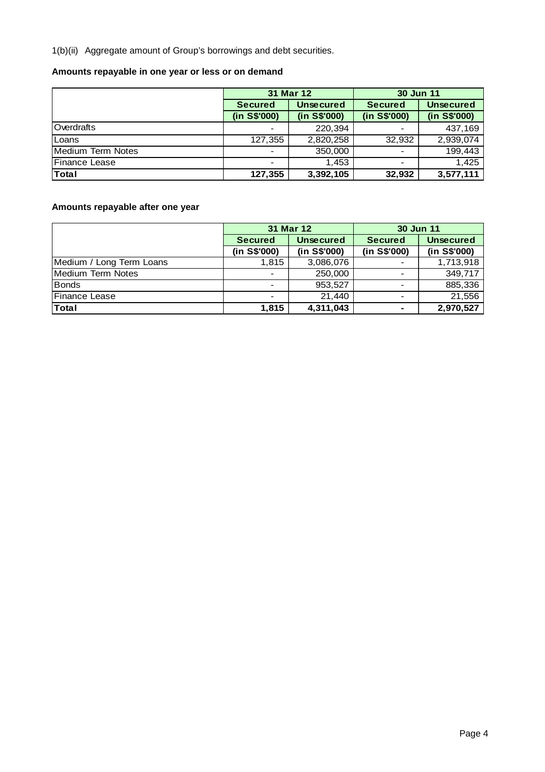1(b)(ii) Aggregate amount of Group's borrowings and debt securities.

# **Amounts repayable in one year or less or on demand**

|                      |                | 31 Mar 12        | 30 Jun 11                |                  |  |  |
|----------------------|----------------|------------------|--------------------------|------------------|--|--|
|                      | <b>Secured</b> | <b>Unsecured</b> | <b>Secured</b>           | <b>Unsecured</b> |  |  |
|                      | (in S\$'000)   | (in S\$'000)     | (in S\$'000)             | (in S\$'000)     |  |  |
| Overdrafts           |                | 220,394          |                          | 437,169          |  |  |
| Loans                | 127,355        | 2,820,258        | 32,932                   | 2,939,074        |  |  |
| Medium Term Notes    | $\,$           | 350,000          | $\overline{\phantom{a}}$ | 199,443          |  |  |
| <b>Finance Lease</b> |                | 1.453            |                          | 1,425            |  |  |
| <b>Total</b>         | 127,355        | 3,392,105        | 32,932                   | 3,577,111        |  |  |

# **Amounts repayable after one year**

|                          |                          | 31 Mar 12        | 30 Jun 11      |                  |  |  |
|--------------------------|--------------------------|------------------|----------------|------------------|--|--|
|                          | <b>Secured</b>           | <b>Unsecured</b> | <b>Secured</b> | <b>Unsecured</b> |  |  |
|                          | (in S\$'000)             | (in S\$'000)     | (in S\$'000)   | (in S\$'000)     |  |  |
| Medium / Long Term Loans | 1,815                    | 3,086,076        |                | 1,713,918        |  |  |
| Medium Term Notes        | $\overline{\phantom{a}}$ | 250,000          |                | 349,717          |  |  |
| <b>Bonds</b>             |                          | 953,527          |                | 885,336          |  |  |
| Finance Lease            |                          | 21.440           |                | 21,556           |  |  |
| Total                    | 1,815                    | 4,311,043        | ۰              | 2,970,527        |  |  |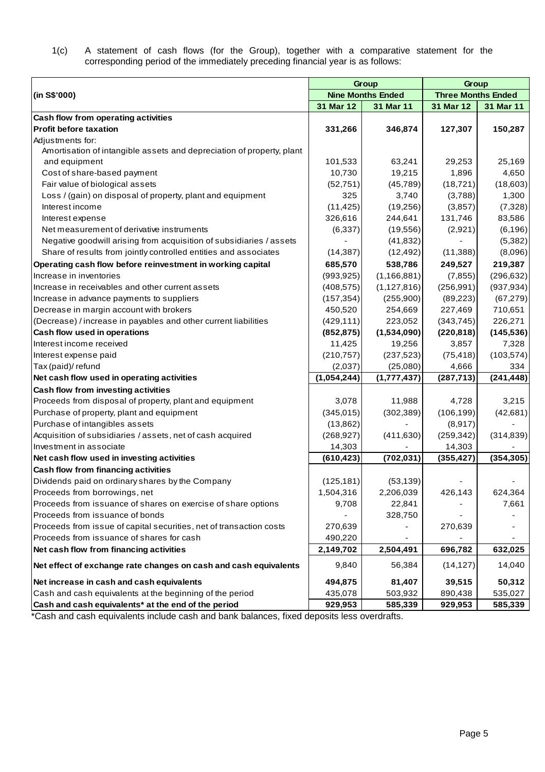1(c) A statement of cash flows (for the Group), together with a comparative statement for the corresponding period of the immediately preceding financial year is as follows:

|                                                                       |             | Group                    | Group                     |            |  |  |
|-----------------------------------------------------------------------|-------------|--------------------------|---------------------------|------------|--|--|
| (in S\$'000)                                                          |             | <b>Nine Months Ended</b> | <b>Three Months Ended</b> |            |  |  |
|                                                                       | 31 Mar 12   | 31 Mar 11                | 31 Mar 12                 | 31 Mar 11  |  |  |
| Cash flow from operating activities                                   |             |                          |                           |            |  |  |
| <b>Profit before taxation</b>                                         | 331,266     | 346,874                  | 127,307                   | 150,287    |  |  |
| Adjustments for:                                                      |             |                          |                           |            |  |  |
| Amortisation of intangible assets and depreciation of property, plant |             |                          |                           |            |  |  |
| and equipment                                                         | 101,533     | 63,241                   | 29,253                    | 25,169     |  |  |
| Cost of share-based payment                                           | 10,730      | 19,215                   | 1,896                     | 4,650      |  |  |
| Fair value of biological assets                                       | (52, 751)   | (45, 789)                | (18, 721)                 | (18,603)   |  |  |
| Loss / (gain) on disposal of property, plant and equipment            | 325         | 3,740                    | (3,788)                   | 1,300      |  |  |
| Interest income                                                       | (11, 425)   | (19,256)                 | (3,857)                   | (7,328)    |  |  |
| Interest expense                                                      | 326,616     | 244,641                  | 131,746                   | 83,586     |  |  |
| Net measurement of derivative instruments                             | (6,337)     | (19, 556)                | (2,921)                   | (6, 196)   |  |  |
| Negative goodwill arising from acquisition of subsidiaries / assets   |             | (41, 832)                |                           | (5,382)    |  |  |
| Share of results from jointly controlled entities and associates      | (14, 387)   | (12, 492)                | (11, 388)                 | (8,096)    |  |  |
| Operating cash flow before reinvestment in working capital            | 685,570     | 538,786                  | 249,527                   | 219,387    |  |  |
| Increase in inventories                                               | (993, 925)  | (1, 166, 881)            | (7, 855)                  | (296, 632) |  |  |
| Increase in receivables and other current assets                      | (408, 575)  | (1, 127, 816)            | (256, 991)                | (937, 934) |  |  |
| Increase in advance payments to suppliers                             | (157, 354)  | (255,900)                | (89, 223)                 | (67, 279)  |  |  |
| Decrease in margin account with brokers                               | 450,520     | 254,669                  | 227,469                   | 710,651    |  |  |
| (Decrease) / increase in payables and other current liabilities       | (429, 111)  | 223,052                  | (343, 745)                | 226,271    |  |  |
| Cash flow used in operations                                          | (852, 875)  | (1,534,090)              | (220, 818)                | (145, 536) |  |  |
| Interest income received                                              | 11,425      | 19,256                   | 3,857                     | 7,328      |  |  |
| Interest expense paid                                                 | (210, 757)  | (237, 523)               | (75, 418)                 | (103, 574) |  |  |
| Tax (paid)/ refund                                                    | (2,037)     | (25,080)                 | 4,666                     | 334        |  |  |
| Net cash flow used in operating activities                            | (1,054,244) | (1,777,437)              | (287, 713)                | (241, 448) |  |  |
| Cash flow from investing activities                                   |             |                          |                           |            |  |  |
| Proceeds from disposal of property, plant and equipment               | 3,078       | 11,988                   | 4,728                     | 3,215      |  |  |
| Purchase of property, plant and equipment                             | (345, 015)  | (302, 389)               | (106, 199)                | (42, 681)  |  |  |
| Purchase of intangibles assets                                        | (13, 862)   |                          | (8, 917)                  |            |  |  |
| Acquisition of subsidiaries / assets, net of cash acquired            | (268, 927)  | (411, 630)               | (259, 342)                | (314, 839) |  |  |
| Investment in associate                                               | 14,303      |                          | 14,303                    |            |  |  |
| Net cash flow used in investing activities                            | (610, 423)  | (702, 031)               | (355, 427)                | (354, 305) |  |  |
| Cash flow from financing activities                                   |             |                          |                           |            |  |  |
| Dividends paid on ordinary shares by the Company                      | (125, 181)  | (53, 139)                |                           |            |  |  |
| Proceeds from borrowings, net                                         | 1,504,316   | 2,206,039                | 426,143                   | 624,364    |  |  |
| Proceeds from issuance of shares on exercise of share options         | 9,708       | 22,841                   |                           | 7,661      |  |  |
| Proceeds from issuance of bonds                                       |             | 328,750                  |                           |            |  |  |
| Proceeds from issue of capital securities, net of transaction costs   | 270,639     |                          | 270,639                   |            |  |  |
| Proceeds from issuance of shares for cash                             | 490,220     |                          |                           |            |  |  |
| Net cash flow from financing activities                               | 2,149,702   | 2,504,491                | 696,782                   | 632,025    |  |  |
| Net effect of exchange rate changes on cash and cash equivalents      | 9,840       | 56,384                   | (14, 127)                 | 14,040     |  |  |
| Net increase in cash and cash equivalents                             | 494,875     | 81,407                   | 39,515                    | 50,312     |  |  |
| Cash and cash equivalents at the beginning of the period              | 435,078     | 503,932                  | 890,438                   | 535,027    |  |  |
| Cash and cash equivalents* at the end of the period                   | 929,953     | 585,339                  | 929,953                   | 585,339    |  |  |

\*Cash and cash equivalents include cash and bank balances, fixed deposits less overdrafts.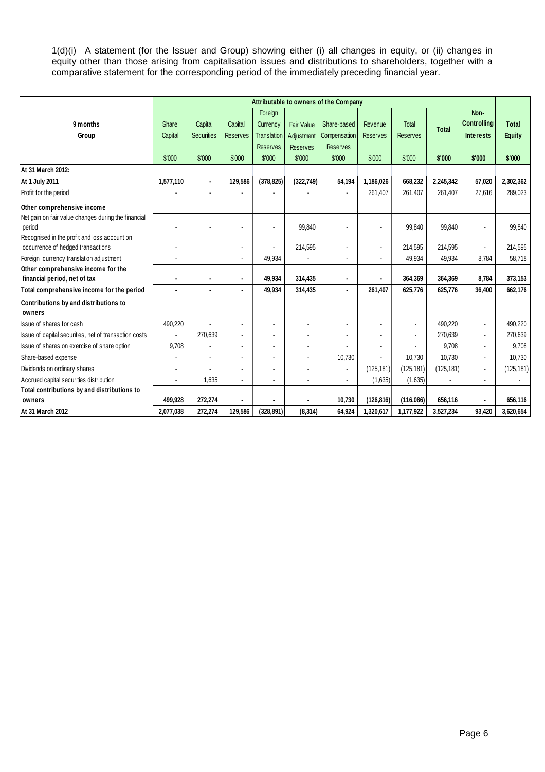1(d)(i) A statement (for the Issuer and Group) showing either (i) all changes in equity, or (ii) changes in equity other than those arising from capitalisation issues and distributions to shareholders, together with a comparative statement for the corresponding period of the immediately preceding financial year.

|                                                       | Attributable to owners of the Company |                   |                 |                    |                   |                 |                 |                 |              |                    |               |
|-------------------------------------------------------|---------------------------------------|-------------------|-----------------|--------------------|-------------------|-----------------|-----------------|-----------------|--------------|--------------------|---------------|
|                                                       |                                       |                   |                 | Foreign            |                   |                 |                 |                 |              | Non-               |               |
| 9 months                                              | Share                                 | Capital           | Capital         | Currency           | <b>Fair Value</b> | Share-based     | Revenue         | Total           |              | <b>Controlling</b> | <b>Total</b>  |
| Group                                                 | Capital                               | <b>Securities</b> | <b>Reserves</b> | <b>Translation</b> | Adjustment        | Compensation    | <b>Reserves</b> | <b>Reserves</b> | <b>Total</b> | <b>Interests</b>   | <b>Equity</b> |
|                                                       |                                       |                   |                 | <b>Reserves</b>    | <b>Reserves</b>   | <b>Reserves</b> |                 |                 |              |                    |               |
|                                                       | \$'000                                | \$'000            | \$'000          | \$'000             | \$'000            | \$'000          | \$'000          | \$'000          | \$'000       | \$'000             | \$'000        |
| At 31 March 2012:                                     |                                       |                   |                 |                    |                   |                 |                 |                 |              |                    |               |
| At 1 July 2011                                        | 1,577,110                             | $\blacksquare$    | 129,586         | (378, 825)         | (322, 749)        | 54,194          | 1,186,026       | 668,232         | 2,245,342    | 57,020             | 2,302,362     |
| Profit for the period                                 |                                       |                   |                 |                    |                   |                 | 261,407         | 261.407         | 261.407      | 27.616             | 289,023       |
| Other comprehensive income                            |                                       |                   |                 |                    |                   |                 |                 |                 |              |                    |               |
| Net gain on fair value changes during the financial   |                                       |                   |                 |                    |                   |                 |                 |                 |              |                    |               |
| period                                                |                                       |                   |                 |                    | 99,840            |                 |                 | 99,840          | 99.840       | $\blacksquare$     | 99.840        |
| Recognised in the profit and loss account on          |                                       |                   |                 |                    |                   |                 |                 |                 |              |                    |               |
| occurrence of hedged transactions                     |                                       |                   |                 |                    | 214,595           | ٠               |                 | 214.595         | 214,595      | $\overline{a}$     | 214,595       |
| Foreign currency translation adjustment               |                                       |                   |                 | 49,934             |                   |                 |                 | 49,934          | 49,934       | 8,784              | 58,718        |
| Other comprehensive income for the                    |                                       |                   |                 |                    |                   |                 |                 |                 |              |                    |               |
| financial period, net of tax                          | $\blacksquare$                        | $\blacksquare$    |                 | 49,934             | 314,435           | $\blacksquare$  |                 | 364,369         | 364,369      | 8,784              | 373,153       |
| Total comprehensive income for the period             |                                       |                   |                 | 49,934             | 314,435           | ٠               | 261,407         | 625,776         | 625,776      | 36,400             | 662,176       |
| Contributions by and distributions to                 |                                       |                   |                 |                    |                   |                 |                 |                 |              |                    |               |
| owners                                                |                                       |                   |                 |                    |                   |                 |                 |                 |              |                    |               |
| Issue of shares for cash                              | 490,220                               |                   |                 |                    |                   |                 |                 | $\blacksquare$  | 490,220      | $\blacksquare$     | 490,220       |
| Issue of capital securities, net of transaction costs | $\overline{a}$                        | 270,639           |                 |                    |                   |                 |                 | $\blacksquare$  | 270,639      | $\blacksquare$     | 270,639       |
| Issue of shares on exercise of share option           | 9,708                                 |                   |                 |                    |                   |                 |                 |                 | 9,708        | $\blacksquare$     | 9,708         |
| Share-based expense                                   |                                       |                   |                 |                    |                   | 10,730          |                 | 10,730          | 10,730       | $\blacksquare$     | 10,730        |
| Dividends on ordinary shares                          |                                       |                   |                 |                    | $\blacksquare$    | $\sim$          | (125, 181)      | (125, 181)      | (125, 181)   | $\blacksquare$     | (125, 181)    |
| Accrued capital securities distribution               |                                       | 1.635             |                 |                    |                   |                 | (1,635)         | (1,635)         |              | $\overline{a}$     |               |
| Total contributions by and distributions to           |                                       |                   |                 |                    |                   |                 |                 |                 |              |                    |               |
| owners                                                | 499.928                               | 272,274           |                 |                    |                   | 10,730          | (126, 816)      | (116,086)       | 656,116      | $\overline{a}$     | 656,116       |
| At 31 March 2012                                      | 2,077,038                             | 272,274           | 129,586         | (328, 891)         | (8, 314)          | 64,924          | 1,320,617       | 1,177,922       | 3,527,234    | 93,420             | 3,620,654     |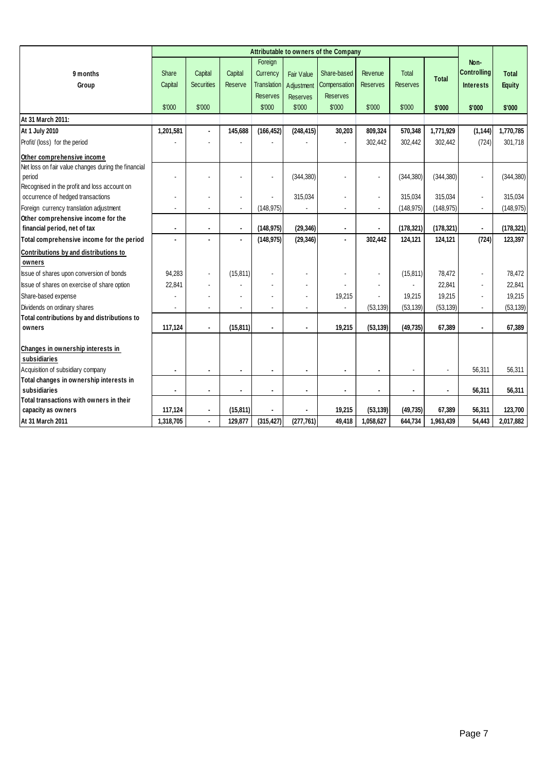|                                                     | Attributable to owners of the Company |                   |                       |                    |                 |                 |                 |                 |                |                    |               |
|-----------------------------------------------------|---------------------------------------|-------------------|-----------------------|--------------------|-----------------|-----------------|-----------------|-----------------|----------------|--------------------|---------------|
|                                                     |                                       |                   |                       | Foreign            |                 |                 |                 |                 |                | Non-               |               |
| 9 months                                            | <b>Share</b>                          | Capital           | Capital               | Currency           | Fair Value      | Share-based     | Revenue         | Total           |                | <b>Controlling</b> | <b>Total</b>  |
| Group                                               | Capital                               | <b>Securities</b> | Reserve               | <b>Translation</b> | Adjustment      | Compensation    | <b>Reserves</b> | <b>Reserves</b> | Total          | <b>Interests</b>   | <b>Equity</b> |
|                                                     |                                       |                   |                       | <b>Reserves</b>    | <b>Reserves</b> | <b>Reserves</b> |                 |                 |                |                    |               |
|                                                     | \$'000                                | \$'000            |                       | \$'000             | \$'000          | \$'000          | \$'000          | \$'000          | \$'000         | \$'000             | \$'000        |
| At 31 March 2011:                                   |                                       |                   |                       |                    |                 |                 |                 |                 |                |                    |               |
| At 1 July 2010                                      | 1,201,581                             |                   | 145,688               | (166, 452)         | (248, 415)      | 30,203          | 809,324         | 570,348         | 1,771,929      | (1, 144)           | 1,770,785     |
| Profit/ (loss) for the period                       |                                       |                   |                       |                    |                 |                 | 302,442         | 302,442         | 302,442        | (724)              | 301,718       |
| Other comprehensive income                          |                                       |                   |                       |                    |                 |                 |                 |                 |                |                    |               |
| Net loss on fair value changes during the financial |                                       |                   |                       |                    |                 |                 |                 |                 |                |                    |               |
| period                                              |                                       |                   |                       |                    | (344, 380)      |                 |                 | (344, 380)      | (344, 380)     | ÷,                 | (344, 380)    |
| Recognised in the profit and loss account on        |                                       |                   |                       |                    |                 |                 |                 |                 |                |                    |               |
| occurrence of hedged transactions                   |                                       |                   | $\blacksquare$        |                    | 315,034         |                 |                 | 315,034         | 315,034        | $\Box$             | 315,034       |
| Foreign currency translation adjustment             | ä,                                    |                   | $\tilde{\phantom{a}}$ | (148.975)          |                 | ä,              | ä,              | (148.975)       | (148, 975)     | $\blacksquare$     | (148, 975)    |
| Other comprehensive income for the                  |                                       |                   |                       |                    |                 |                 |                 |                 |                |                    |               |
| financial period, net of tax                        | $\blacksquare$                        | $\blacksquare$    | $\blacksquare$        | (148, 975)         | (29, 346)       | $\blacksquare$  |                 | (178, 321)      | (178, 321)     | $\blacksquare$     | (178, 321)    |
| Total comprehensive income for the period           |                                       |                   |                       | (148.975)          | (29, 346)       | $\blacksquare$  | 302.442         | 124,121         | 124,121        | (724)              | 123,397       |
| Contributions by and distributions to               |                                       |                   |                       |                    |                 |                 |                 |                 |                |                    |               |
| owners                                              |                                       |                   |                       |                    |                 |                 |                 |                 |                |                    |               |
| Issue of shares upon conversion of bonds            | 94,283                                | ä,                | (15, 811)             |                    |                 |                 |                 | (15, 811)       | 78,472         | ä,                 | 78,472        |
| Issue of shares on exercise of share option         | 22,841                                |                   |                       |                    |                 |                 |                 |                 | 22,841         | $\blacksquare$     | 22,841        |
| Share-based expense                                 |                                       |                   |                       |                    |                 | 19,215          |                 | 19,215          | 19,215         | ä,                 | 19,215        |
| Dividends on ordinary shares                        |                                       |                   |                       |                    |                 |                 | (53, 139)       | (53, 139)       | (53, 139)      | $\blacksquare$     | (53, 139)     |
| Total contributions by and distributions to         |                                       |                   |                       |                    |                 |                 |                 |                 |                |                    |               |
| owners                                              | 117,124                               | $\blacksquare$    | (15, 811)             | $\blacksquare$     | $\blacksquare$  | 19,215          | (53, 139)       | (49, 735)       | 67,389         | $\blacksquare$     | 67,389        |
|                                                     |                                       |                   |                       |                    |                 |                 |                 |                 |                |                    |               |
| Changes in ownership interests in                   |                                       |                   |                       |                    |                 |                 |                 |                 |                |                    |               |
| subsidiaries                                        |                                       |                   |                       |                    |                 |                 |                 |                 |                |                    |               |
| Acquisition of subsidiary company                   |                                       |                   |                       |                    |                 |                 |                 |                 |                | 56,311             | 56,311        |
| Total changes in ownership interests in             |                                       |                   |                       |                    |                 |                 |                 |                 |                |                    |               |
| subsidiaries                                        | $\blacksquare$                        |                   |                       | $\blacksquare$     | $\blacksquare$  |                 |                 | $\blacksquare$  | $\blacksquare$ | 56,311             | 56,311        |
| Total transactions with owners in their             |                                       |                   |                       |                    |                 | 19,215          |                 |                 |                |                    |               |
| capacity as owners                                  | 117,124                               | ۰                 | (15, 811)             |                    |                 |                 | (53, 139)       | (49, 735)       | 67,389         | 56,311             | 123,700       |
| At 31 March 2011                                    | 1,318,705                             | $\blacksquare$    | 129,877               | (315, 427)         | (277, 761)      | 49,418          | 1,058,627       | 644,734         | 1,963,439      | 54,443             | 2,017,882     |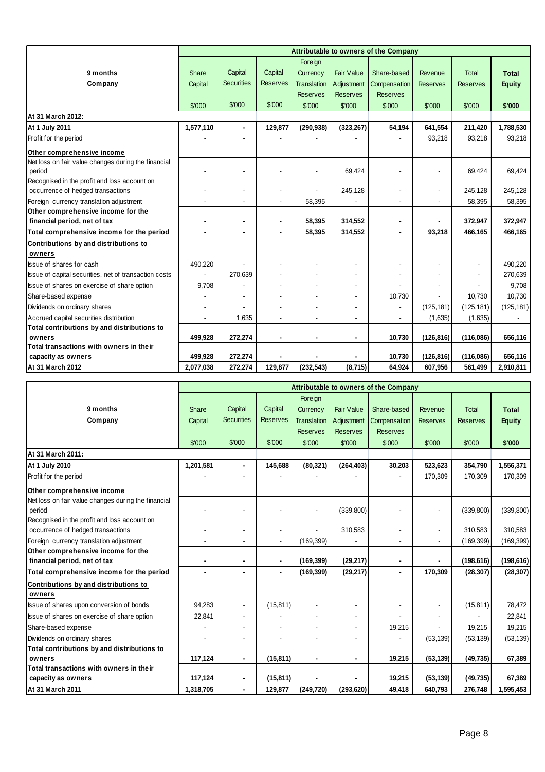|                                                                               |           |                              |                 |                    |                   | Attributable to owners of the Company |                 |                 |               |
|-------------------------------------------------------------------------------|-----------|------------------------------|-----------------|--------------------|-------------------|---------------------------------------|-----------------|-----------------|---------------|
|                                                                               |           |                              |                 | Foreign            |                   |                                       |                 |                 |               |
| 9 months                                                                      | Share     | Capital                      | Capital         | Currency           | <b>Fair Value</b> | Share-based                           | Revenue         | Total           | <b>Total</b>  |
| Company                                                                       | Capital   | <b>Securities</b>            | <b>Reserves</b> | <b>Translation</b> | Adjustment        | Compensation                          | <b>Reserves</b> | <b>Reserves</b> | <b>Equity</b> |
|                                                                               |           |                              |                 | <b>Reserves</b>    | <b>Reserves</b>   | <b>Reserves</b>                       |                 |                 |               |
|                                                                               | \$'000    | \$'000                       | \$'000          | \$'000             | \$'000            | \$'000                                | \$'000          | \$'000          | \$'000        |
| At 31 March 2012:                                                             |           |                              |                 |                    |                   |                                       |                 |                 |               |
| At 1 July 2011                                                                | 1,577,110 | ä,                           | 129,877         | (290, 938)         | (323, 267)        | 54,194                                | 641,554         | 211,420         | 1,788,530     |
| Profit for the period                                                         |           |                              |                 |                    |                   |                                       | 93,218          | 93,218          | 93,218        |
| Other comprehensive income                                                    |           |                              |                 |                    |                   |                                       |                 |                 |               |
| Net loss on fair value changes during the financial                           |           |                              |                 |                    |                   |                                       |                 |                 |               |
| period                                                                        |           | $\overline{\phantom{0}}$     |                 |                    | 69,424            |                                       |                 | 69,424          | 69.424        |
| Recognised in the profit and loss account on                                  |           |                              |                 |                    |                   |                                       |                 |                 |               |
| occurrence of hedged transactions                                             |           | $\qquad \qquad \blacksquare$ |                 |                    | 245,128           |                                       | $\overline{a}$  | 245,128         | 245,128       |
| Foreign currency translation adjustment<br>Other comprehensive income for the |           |                              |                 | 58,395             |                   |                                       |                 | 58,395          | 58,395        |
| financial period, net of tax                                                  | ٠         | $\blacksquare$               | $\blacksquare$  | 58,395             | 314,552           |                                       |                 | 372,947         | 372,947       |
| Total comprehensive income for the period                                     |           | ٠                            |                 | 58,395             | 314,552           |                                       | 93,218          | 466,165         | 466,165       |
| Contributions by and distributions to                                         |           |                              |                 |                    |                   |                                       |                 |                 |               |
| owners                                                                        |           |                              |                 |                    |                   |                                       |                 |                 |               |
| Issue of shares for cash                                                      | 490,220   |                              |                 |                    |                   |                                       |                 |                 | 490,220       |
| Issue of capital securities, net of transaction costs                         |           | 270,639                      |                 |                    |                   |                                       |                 |                 | 270,639       |
| Issue of shares on exercise of share option                                   | 9,708     |                              |                 |                    |                   |                                       |                 |                 | 9,708         |
| Share-based expense                                                           |           |                              |                 |                    |                   | 10,730                                |                 | 10,730          | 10,730        |
| Dividends on ordinary shares                                                  |           |                              |                 |                    |                   |                                       | (125, 181)      | (125, 181)      | (125, 181)    |
| Accrued capital securities distribution                                       |           | 1,635                        |                 |                    |                   |                                       | (1,635)         | (1,635)         |               |
| Total contributions by and distributions to                                   |           |                              |                 |                    |                   |                                       |                 |                 |               |
| owners                                                                        | 499,928   | 272,274                      |                 |                    | $\blacksquare$    | 10,730                                | (126, 816)      | (116,086)       | 656,116       |
| Total transactions with owners in their                                       |           |                              |                 |                    |                   |                                       |                 |                 |               |
| capacity as owners                                                            | 499,928   | 272,274                      |                 |                    |                   | 10,730                                | (126, 816)      | (116,086)       | 656,116       |
| At 31 March 2012                                                              | 2,077,038 | 272,274                      | 129,877         | (232, 543)         | (8,715)           | 64,924                                | 607,956         | 561,499         | 2,910,811     |

|                                                     |                |                          |                 |                    |                   | Attributable to owners of the Company |                 |                 |               |
|-----------------------------------------------------|----------------|--------------------------|-----------------|--------------------|-------------------|---------------------------------------|-----------------|-----------------|---------------|
|                                                     |                |                          |                 | Foreign            |                   |                                       |                 |                 |               |
| 9 months                                            | <b>Share</b>   | Capital                  | Capital         | Currency           | <b>Fair Value</b> | Share-based                           | Revenue         | <b>Total</b>    | <b>Total</b>  |
| Company                                             | Capital        | <b>Securities</b>        | <b>Reserves</b> | <b>Translation</b> | Adjustment        | Compensation                          | <b>Reserves</b> | <b>Reserves</b> | <b>Equity</b> |
|                                                     |                |                          |                 | <b>Reserves</b>    | <b>Reserves</b>   | <b>Reserves</b>                       |                 |                 |               |
|                                                     | \$'000         | \$'000                   | \$'000          | \$'000             | \$'000            | \$'000                                | \$'000          | \$'000          | \$'000        |
| At 31 March 2011:                                   |                |                          |                 |                    |                   |                                       |                 |                 |               |
| At 1 July 2010                                      | 1,201,581      | $\blacksquare$           | 145,688         | (80, 321)          | (264, 403)        | 30,203                                | 523,623         | 354,790         | 1,556,371     |
| Profit for the period                               |                |                          |                 |                    |                   |                                       | 170,309         | 170,309         | 170,309       |
| Other comprehensive income                          |                |                          |                 |                    |                   |                                       |                 |                 |               |
| Net loss on fair value changes during the financial |                |                          |                 |                    |                   |                                       |                 |                 |               |
| period                                              |                |                          |                 |                    | (339, 800)        |                                       |                 | (339, 800)      | (339, 800)    |
| Recognised in the profit and loss account on        |                |                          |                 |                    |                   |                                       |                 |                 |               |
| occurrence of hedged transactions                   |                | ÷,                       |                 |                    | 310.583           |                                       |                 | 310.583         | 310,583       |
| Foreign currency translation adjustment             |                | ÷,                       |                 | (169, 399)         |                   |                                       |                 | (169, 399)      | (169, 399)    |
| Other comprehensive income for the                  |                |                          |                 |                    |                   |                                       |                 |                 |               |
| financial period, net of tax                        | $\blacksquare$ | $\blacksquare$           | $\blacksquare$  | (169, 399)         | (29, 217)         |                                       |                 | (198, 616)      | (198, 616)    |
| Total comprehensive income for the period           |                | $\overline{\phantom{0}}$ | $\blacksquare$  | (169, 399)         | (29, 217)         | $\blacksquare$                        | 170,309         | (28, 307)       | (28, 307)     |
| Contributions by and distributions to               |                |                          |                 |                    |                   |                                       |                 |                 |               |
| owners                                              |                |                          |                 |                    |                   |                                       |                 |                 |               |
| Issue of shares upon conversion of bonds            | 94,283         | $\blacksquare$           | (15, 811)       | ٠                  |                   |                                       |                 | (15, 811)       | 78,472        |
| Issue of shares on exercise of share option         | 22,841         | ٠                        |                 |                    |                   |                                       |                 |                 | 22,841        |
| Share-based expense                                 |                |                          |                 |                    |                   | 19,215                                |                 | 19,215          | 19,215        |
| Dividends on ordinary shares                        | ä,             | ÷,                       |                 |                    |                   |                                       | (53, 139)       | (53, 139)       | (53, 139)     |
| Total contributions by and distributions to         |                |                          |                 |                    |                   |                                       |                 |                 |               |
| owners                                              | 117,124        | $\overline{\phantom{a}}$ | (15, 811)       | $\blacksquare$     | $\blacksquare$    | 19,215                                | (53, 139)       | (49, 735)       | 67,389        |
| Total transactions with owners in their             |                |                          |                 |                    |                   |                                       |                 |                 |               |
| capacity as owners                                  | 117,124        | $\overline{\phantom{a}}$ | (15, 811)       |                    |                   | 19,215                                | (53, 139)       | (49, 735)       | 67,389        |
| At 31 March 2011                                    | 1,318,705      | $\blacksquare$           | 129,877         | (249, 720)         | (293, 620)        | 49,418                                | 640,793         | 276,748         | 1,595,453     |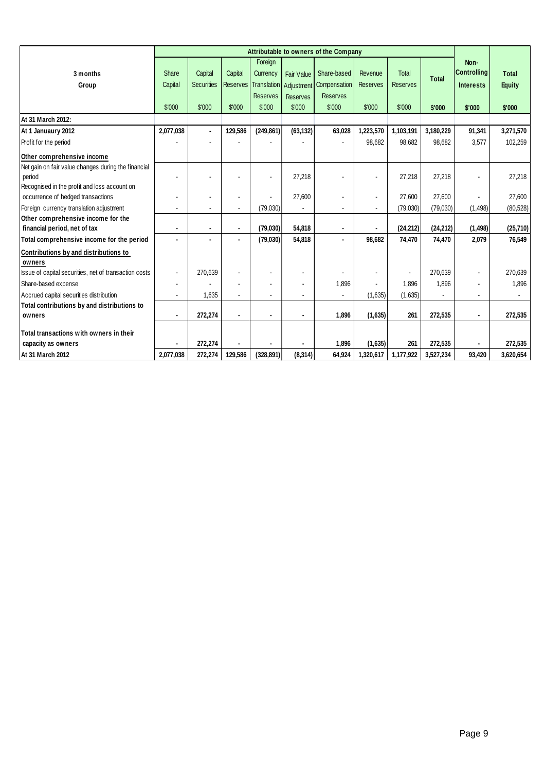|                                                                                                               | Attributable to owners of the Company |                              |                            |                                        |                                      |                                                                       |                            |                                 |              |                                                |                               |
|---------------------------------------------------------------------------------------------------------------|---------------------------------------|------------------------------|----------------------------|----------------------------------------|--------------------------------------|-----------------------------------------------------------------------|----------------------------|---------------------------------|--------------|------------------------------------------------|-------------------------------|
| 3 months<br>Group                                                                                             | Share<br>Capital                      | Capital<br><b>Securities</b> | Capital<br><b>Reserves</b> | Foreign<br>Currency<br><b>Reserves</b> | <b>Fair Value</b><br><b>Reserves</b> | Share-based<br>Translation Adjustment Compensation<br><b>Reserves</b> | Revenue<br><b>Reserves</b> | <b>Total</b><br><b>Reserves</b> | <b>Total</b> | Non-<br><b>Controlling</b><br><b>Interests</b> | <b>Total</b><br><b>Equity</b> |
|                                                                                                               | \$'000                                | \$'000                       | \$'000                     | \$'000                                 | \$'000                               | \$'000                                                                | \$'000                     | \$'000                          | \$'000       | \$'000                                         | \$'000                        |
| At 31 March 2012:                                                                                             |                                       |                              |                            |                                        |                                      |                                                                       |                            |                                 |              |                                                |                               |
| At 1 Januaury 2012                                                                                            | 2,077,038                             |                              | 129,586                    | (249, 861)                             | (63, 132)                            | 63,028                                                                | 1,223,570                  | 1,103,191                       | 3,180,229    | 91,341                                         | 3,271,570                     |
| Profit for the period                                                                                         |                                       |                              |                            |                                        |                                      |                                                                       | 98,682                     | 98,682                          | 98,682       | 3,577                                          | 102,259                       |
| Other comprehensive income                                                                                    |                                       |                              |                            |                                        |                                      |                                                                       |                            |                                 |              |                                                |                               |
| Net gain on fair value changes during the financial<br>period<br>Recognised in the profit and loss account on |                                       |                              |                            |                                        | 27,218                               |                                                                       | $\blacksquare$             | 27,218                          | 27,218       |                                                | 27,218                        |
| occurrence of hedged transactions                                                                             |                                       |                              |                            |                                        | 27,600                               |                                                                       |                            | 27,600                          | 27,600       |                                                | 27,600                        |
| Foreign currency translation adjustment                                                                       |                                       |                              | $\blacksquare$             | (79,030)                               |                                      |                                                                       |                            | (79, 030)                       | (79,030)     | (1, 498)                                       | (80, 528)                     |
| Other comprehensive income for the                                                                            |                                       |                              |                            |                                        |                                      |                                                                       |                            |                                 |              |                                                |                               |
| financial period, net of tax                                                                                  | $\blacksquare$                        | $\blacksquare$               | $\blacksquare$             | (79,030)                               | 54,818                               | $\blacksquare$                                                        | $\blacksquare$             | (24, 212)                       | (24, 212)    | (1, 498)                                       | (25,710)                      |
| Total comprehensive income for the period                                                                     |                                       |                              | $\blacksquare$             | (79,030)                               | 54,818                               | $\blacksquare$                                                        | 98,682                     | 74,470                          | 74,470       | 2,079                                          | 76,549                        |
| Contributions by and distributions to<br>owners                                                               |                                       |                              |                            |                                        |                                      |                                                                       |                            |                                 |              |                                                |                               |
| Issue of capital securities, net of transaction costs                                                         | $\sim$                                | 270,639                      |                            |                                        |                                      |                                                                       |                            |                                 | 270,639      |                                                | 270,639                       |
| Share-based expense                                                                                           |                                       |                              |                            |                                        |                                      | 1,896                                                                 |                            | 1,896                           | 1,896        |                                                | 1,896                         |
| Accrued capital securities distribution                                                                       |                                       | 1,635                        | $\blacksquare$             |                                        |                                      |                                                                       | (1,635)                    | (1,635)                         |              |                                                |                               |
| Total contributions by and distributions to                                                                   |                                       |                              |                            |                                        |                                      |                                                                       |                            |                                 |              |                                                |                               |
| owners                                                                                                        |                                       | 272,274                      | ٠                          |                                        |                                      | 1,896                                                                 | (1,635)                    | 261                             | 272,535      |                                                | 272,535                       |
| Total transactions with owners in their                                                                       |                                       |                              |                            |                                        |                                      |                                                                       |                            |                                 |              |                                                |                               |
| capacity as owners                                                                                            |                                       | 272,274                      |                            |                                        |                                      | 1,896                                                                 | (1,635)                    | 261                             | 272,535      |                                                | 272,535                       |
| At 31 March 2012                                                                                              | 2,077,038                             | 272,274                      | 129,586                    | (328, 891)                             | (8, 314)                             | 64,924                                                                | 1,320,617                  | 1,177,922                       | 3,527,234    | 93,420                                         | 3,620,654                     |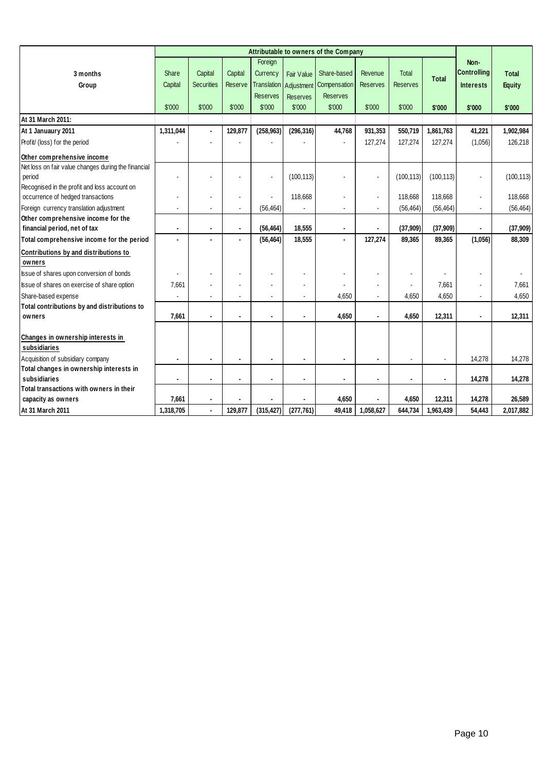|                                                     |                |                   |                      |                 |                   | Attributable to owners of the Company |                 |                    |                |                    |                    |
|-----------------------------------------------------|----------------|-------------------|----------------------|-----------------|-------------------|---------------------------------------|-----------------|--------------------|----------------|--------------------|--------------------|
|                                                     |                |                   |                      | Foreign         |                   |                                       |                 |                    |                | Non-               |                    |
| 3 months                                            | Share          | Capital           | Capital              | Currency        | <b>Fair Value</b> | Share-based                           | Revenue         | Total              | <b>Total</b>   | <b>Controlling</b> | <b>Total</b>       |
| Group                                               | Capital        | <b>Securities</b> | Reserve              | Translation     | Adjustment        | Compensation                          | <b>Reserves</b> | <b>Reserves</b>    |                | <b>Interests</b>   | <b>Equity</b>      |
|                                                     |                |                   |                      | <b>Reserves</b> | Reserves          | <b>Reserves</b>                       |                 |                    |                |                    |                    |
|                                                     | \$'000         | \$'000            | \$'000               | \$'000          | \$'000            | \$'000                                | \$'000          | \$'000             | \$'000         | \$'000             | \$'000             |
| At 31 March 2011:                                   |                |                   |                      |                 |                   |                                       |                 |                    |                |                    |                    |
| At 1 Januaury 2011                                  | 1,311,044      | $\blacksquare$    | 129,877              | (258, 963)      | (296, 316)        | 44,768                                | 931,353         | 550,719            | 1,861,763      | 41,221             | 1,902,984          |
| Profit/ (loss) for the period                       |                |                   |                      |                 |                   |                                       | 127,274         | 127,274            | 127,274        | (1,056)            | 126,218            |
| Other comprehensive income                          |                |                   |                      |                 |                   |                                       |                 |                    |                |                    |                    |
| Net loss on fair value changes during the financial |                |                   |                      |                 |                   |                                       |                 |                    |                |                    |                    |
| period                                              |                |                   |                      | $\blacksquare$  | (100, 113)        |                                       | Ĭ.              | (100, 113)         | (100, 113)     |                    | (100, 113)         |
| Recognised in the profit and loss account on        |                |                   |                      |                 |                   |                                       |                 |                    |                |                    |                    |
| occurrence of hedged transactions                   |                |                   | $\ddot{\phantom{a}}$ |                 | 118,668           |                                       | $\blacksquare$  | 118,668            | 118,668        |                    | 118,668            |
| Foreign currency translation adjustment             |                |                   | $\blacksquare$       | (56, 464)       |                   |                                       |                 | (56, 464)          | (56, 464)      |                    | (56, 464)          |
| Other comprehensive income for the                  |                |                   | $\blacksquare$       |                 | 18,555            |                                       |                 |                    | (37,909)       |                    |                    |
| financial period, net of tax                        |                |                   | $\blacksquare$       | (56, 464)       |                   |                                       | 127,274         | (37,909)<br>89,365 | 89,365         |                    | (37,909)<br>88,309 |
| Total comprehensive income for the period           |                |                   |                      | (56, 464)       | 18,555            |                                       |                 |                    |                | (1,056)            |                    |
| Contributions by and distributions to               |                |                   |                      |                 |                   |                                       |                 |                    |                |                    |                    |
| owners<br>Issue of shares upon conversion of bonds  | $\overline{a}$ |                   |                      |                 |                   |                                       | $\blacksquare$  | $\blacksquare$     |                |                    |                    |
| Issue of shares on exercise of share option         | 7,661          |                   |                      |                 | ä,                |                                       |                 | $\blacksquare$     | 7,661          |                    | 7,661              |
| Share-based expense                                 |                |                   |                      |                 |                   | 4,650                                 |                 | 4,650              | 4,650          |                    | 4,650              |
| Total contributions by and distributions to         |                |                   |                      |                 |                   |                                       |                 |                    |                |                    |                    |
| owners                                              | 7,661          |                   |                      |                 |                   | 4,650                                 |                 | 4,650              | 12,311         |                    | 12,311             |
|                                                     |                |                   |                      |                 |                   |                                       |                 |                    |                |                    |                    |
| Changes in ownership interests in                   |                |                   |                      |                 |                   |                                       |                 |                    |                |                    |                    |
| subsidiaries                                        |                |                   |                      |                 |                   |                                       |                 |                    |                |                    |                    |
| Acquisition of subsidiary company                   | $\blacksquare$ | $\blacksquare$    | $\blacksquare$       |                 | $\blacksquare$    |                                       |                 | $\blacksquare$     |                | 14,278             | 14,278             |
| Total changes in ownership interests in             |                |                   |                      |                 |                   |                                       |                 |                    |                |                    |                    |
| subsidiaries                                        | $\blacksquare$ | $\blacksquare$    | $\blacksquare$       |                 | $\blacksquare$    |                                       |                 | $\blacksquare$     | $\blacksquare$ | 14,278             | 14,278             |
| Total transactions with owners in their             |                |                   |                      |                 |                   |                                       |                 |                    |                |                    |                    |
| capacity as owners                                  | 7,661          | $\blacksquare$    |                      |                 |                   | 4,650                                 |                 | 4,650              | 12,311         | 14,278             | 26,589             |
| At 31 March 2011                                    | 1,318,705      | $\blacksquare$    | 129,877              | (315, 427)      | (277, 761)        | 49,418                                | 1,058,627       | 644,734            | 1,963,439      | 54,443             | 2,017,882          |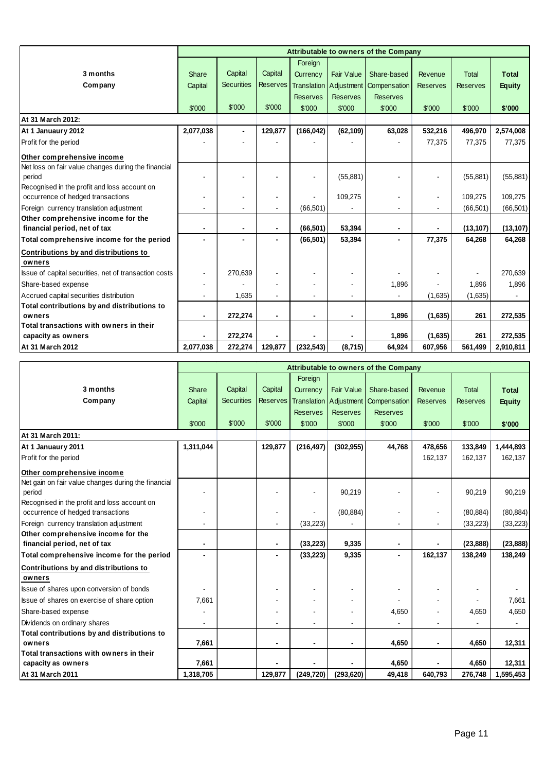|                                                       |                |                   |                 |                 |                          | Attributable to owners of the Company |                 |                 |               |
|-------------------------------------------------------|----------------|-------------------|-----------------|-----------------|--------------------------|---------------------------------------|-----------------|-----------------|---------------|
|                                                       |                |                   |                 | Foreign         |                          |                                       |                 |                 |               |
| 3 months                                              | Share          | Capital           | Capital         | Currency        | <b>Fair Value</b>        | Share-based                           | Revenue         | <b>Total</b>    | <b>Total</b>  |
| Company                                               | Capital        | <b>Securities</b> | <b>Reserves</b> |                 | Translation   Adjustment | Compensation                          | <b>Reserves</b> | <b>Reserves</b> | <b>Equity</b> |
|                                                       |                |                   |                 | <b>Reserves</b> | <b>Reserves</b>          | <b>Reserves</b>                       |                 |                 |               |
|                                                       | \$'000         | \$'000            | \$'000          | \$'000          | \$'000                   | \$'000                                | \$'000          | \$'000          | \$'000        |
| At 31 March 2012:                                     |                |                   |                 |                 |                          |                                       |                 |                 |               |
| At 1 Januaury 2012                                    | 2,077,038      | $\blacksquare$    | 129,877         | (166, 042)      | (62, 109)                | 63,028                                | 532,216         | 496,970         | 2,574,008     |
| Profit for the period                                 |                |                   |                 |                 |                          |                                       | 77,375          | 77,375          | 77,375        |
| Other comprehensive income                            |                |                   |                 |                 |                          |                                       |                 |                 |               |
| Net loss on fair value changes during the financial   |                |                   |                 |                 |                          |                                       |                 |                 |               |
| period                                                |                |                   |                 |                 | (55, 881)                |                                       |                 | (55, 881)       | (55, 881)     |
| Recognised in the profit and loss account on          |                |                   |                 |                 |                          |                                       |                 |                 |               |
| occurrence of hedged transactions                     |                |                   | $\blacksquare$  |                 | 109,275                  |                                       |                 | 109,275         | 109,275       |
| Foreign currency translation adjustment               |                |                   |                 | (66, 501)       |                          |                                       |                 | (66, 501)       | (66, 501)     |
| Other comprehensive income for the                    |                |                   |                 |                 |                          |                                       |                 |                 |               |
| financial period, net of tax                          |                |                   | $\blacksquare$  | (66, 501)       | 53,394                   |                                       |                 | (13, 107)       | (13, 107)     |
| Total comprehensive income for the period             |                |                   |                 | (66, 501)       | 53,394                   |                                       | 77,375          | 64,268          | 64,268        |
| Contributions by and distributions to                 |                |                   |                 |                 |                          |                                       |                 |                 |               |
| owners                                                |                |                   |                 |                 |                          |                                       |                 |                 |               |
| Issue of capital securities, net of transaction costs |                | 270,639           |                 |                 |                          |                                       |                 |                 | 270,639       |
| Share-based expense                                   |                |                   |                 |                 |                          | 1,896                                 |                 | 1,896           | 1,896         |
| Accrued capital securities distribution               |                | 1,635             |                 |                 |                          |                                       | (1,635)         | (1,635)         |               |
| Total contributions by and distributions to           |                |                   |                 |                 |                          |                                       |                 |                 |               |
| owners                                                | $\blacksquare$ | 272,274           | $\blacksquare$  |                 | $\blacksquare$           | 1,896                                 | (1,635)         | 261             | 272,535       |
| Total transactions with owners in their               |                |                   |                 |                 |                          |                                       |                 |                 |               |
| capacity as owners                                    |                | 272,274           |                 |                 |                          | 1,896                                 | (1,635)         | 261             | 272,535       |
| At 31 March 2012                                      | 2,077,038      | 272,274           | 129,877         | (232, 543)      | (8,715)                  | 64,924                                | 607,956         | 561,499         | 2,910,811     |

|                                                     |           |                   |                 |                 |                          | Attributable to owners of the Company |                 |                 |               |
|-----------------------------------------------------|-----------|-------------------|-----------------|-----------------|--------------------------|---------------------------------------|-----------------|-----------------|---------------|
|                                                     |           |                   |                 | Foreign         |                          |                                       |                 |                 |               |
| 3 months                                            | Share     | Capital           | Capital         | Currency        | <b>Fair Value</b>        | Share-based                           | Revenue         | <b>Total</b>    | <b>Total</b>  |
| Company                                             | Capital   | <b>Securities</b> | <b>Reserves</b> |                 | Translation   Adjustment | Compensation                          | <b>Reserves</b> | <b>Reserves</b> | <b>Equity</b> |
|                                                     |           |                   |                 | <b>Reserves</b> | <b>Reserves</b>          | <b>Reserves</b>                       |                 |                 |               |
|                                                     | \$'000    | \$'000            | \$'000          | \$'000          | \$'000                   | \$'000                                | \$'000          | \$'000          | \$'000        |
| At 31 March 2011:                                   |           |                   |                 |                 |                          |                                       |                 |                 |               |
| At 1 Januaury 2011                                  | 1,311,044 |                   | 129,877         | (216, 497)      | (302, 955)               | 44,768                                | 478,656         | 133,849         | 1,444,893     |
| Profit for the period                               |           |                   |                 |                 |                          |                                       | 162,137         | 162,137         | 162,137       |
| Other comprehensive income                          |           |                   |                 |                 |                          |                                       |                 |                 |               |
| Net gain on fair value changes during the financial |           |                   |                 |                 |                          |                                       |                 |                 |               |
| period                                              |           |                   |                 |                 | 90,219                   |                                       |                 | 90,219          | 90,219        |
| Recognised in the profit and loss account on        |           |                   |                 |                 |                          |                                       |                 |                 |               |
| occurrence of hedged transactions                   |           |                   |                 |                 | (80, 884)                |                                       |                 | (80, 884)       | (80, 884)     |
| Foreign currency translation adjustment             |           |                   |                 | (33, 223)       |                          |                                       |                 | (33, 223)       | (33, 223)     |
| Other comprehensive income for the                  |           |                   |                 |                 |                          |                                       |                 |                 |               |
| financial period, net of tax                        |           |                   |                 | (33, 223)       | 9,335                    |                                       |                 | (23, 888)       | (23, 888)     |
| Total comprehensive income for the period           |           |                   |                 | (33, 223)       | 9,335                    |                                       | 162,137         | 138,249         | 138,249       |
| Contributions by and distributions to               |           |                   |                 |                 |                          |                                       |                 |                 |               |
| owners                                              |           |                   |                 |                 |                          |                                       |                 |                 |               |
| Issue of shares upon conversion of bonds            |           |                   |                 |                 |                          |                                       |                 |                 |               |
| Issue of shares on exercise of share option         | 7,661     |                   |                 |                 |                          |                                       |                 |                 | 7,661         |
| Share-based expense                                 |           |                   |                 |                 |                          | 4,650                                 |                 | 4,650           | 4,650         |
| Dividends on ordinary shares                        |           |                   |                 |                 |                          |                                       |                 |                 |               |
| Total contributions by and distributions to         |           |                   |                 |                 |                          |                                       |                 |                 |               |
| owners                                              | 7,661     |                   |                 |                 |                          | 4,650                                 |                 | 4,650           | 12,311        |
| Total transactions with owners in their             |           |                   |                 |                 |                          |                                       |                 |                 |               |
| capacity as owners                                  | 7,661     |                   |                 |                 |                          | 4,650                                 |                 | 4,650           | 12,311        |
| At 31 March 2011                                    | 1,318,705 |                   | 129,877         | (249, 720)      | (293, 620)               | 49,418                                | 640,793         | 276,748         | 1,595,453     |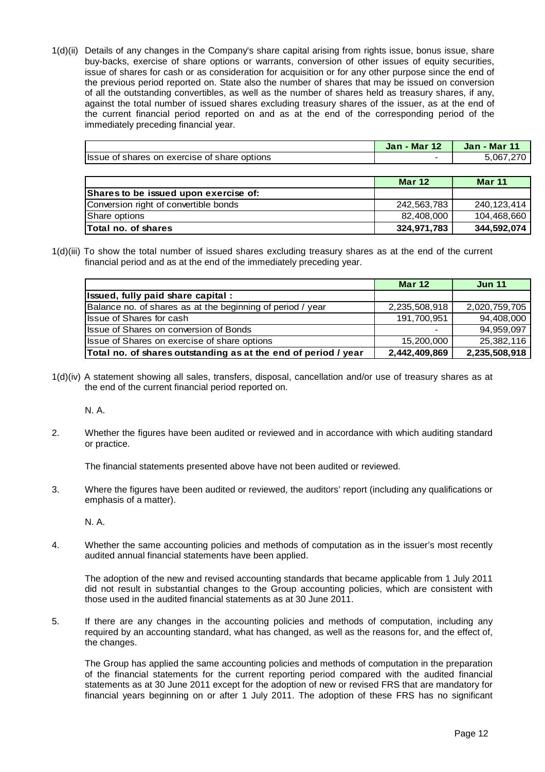1(d)(ii) Details of any changes in the Company's share capital arising from rights issue, bonus issue, share buy-backs, exercise of share options or warrants, conversion of other issues of equity securities, issue of shares for cash or as consideration for acquisition or for any other purpose since the end of the previous period reported on. State also the number of shares that may be issued on conversion of all the outstanding convertibles, as well as the number of shares held as treasury shares, if any, against the total number of issued shares excluding treasury shares of the issuer, as at the end of the current financial period reported on and as at the end of the corresponding period of the immediately preceding financial year.

|                                              | <b>Jan - Mar 12</b> | <b>Jan - Mar 11</b> |
|----------------------------------------------|---------------------|---------------------|
| Issue of shares on exercise of share options |                     | 5,067,270           |
|                                              |                     |                     |
|                                              | <b>Mar 12</b>       | <b>Mar 11</b>       |
| Shares to be issued upon exercise of:        |                     |                     |
| Conversion right of convertible bonds        | 242,563,783         | 240, 123, 414       |
| Share options                                | 82,408,000          | 104,468,660         |
| Total no. of shares                          | 324,971,783         | 344,592,074         |

1(d)(iii) To show the total number of issued shares excluding treasury shares as at the end of the current financial period and as at the end of the immediately preceding year.

|                                                                | <b>Mar 12</b> | <b>Jun 11</b> |
|----------------------------------------------------------------|---------------|---------------|
| Issued, fully paid share capital :                             |               |               |
| Balance no. of shares as at the beginning of period / year     | 2,235,508,918 | 2,020,759,705 |
| <b>Issue of Shares for cash</b>                                | 191,700,951   | 94,408,000    |
| <b>Issue of Shares on conversion of Bonds</b>                  |               | 94,959,097    |
| Issue of Shares on exercise of share options                   | 15,200,000    | 25,382,116    |
| Total no. of shares outstanding as at the end of period / year | 2,442,409,869 | 2,235,508,918 |

1(d)(iv) A statement showing all sales, transfers, disposal, cancellation and/or use of treasury shares as at the end of the current financial period reported on.

N. A.

2. Whether the figures have been audited or reviewed and in accordance with which auditing standard or practice.

The financial statements presented above have not been audited or reviewed.

3. Where the figures have been audited or reviewed, the auditors' report (including any qualifications or emphasis of a matter).

N. A.

4. Whether the same accounting policies and methods of computation as in the issuer's most recently audited annual financial statements have been applied.

 The adoption of the new and revised accounting standards that became applicable from 1 July 2011 did not result in substantial changes to the Group accounting policies, which are consistent with those used in the audited financial statements as at 30 June 2011.

5. If there are any changes in the accounting policies and methods of computation, including any required by an accounting standard, what has changed, as well as the reasons for, and the effect of, the changes.

 The Group has applied the same accounting policies and methods of computation in the preparation of the financial statements for the current reporting period compared with the audited financial statements as at 30 June 2011 except for the adoption of new or revised FRS that are mandatory for financial years beginning on or after 1 July 2011. The adoption of these FRS has no significant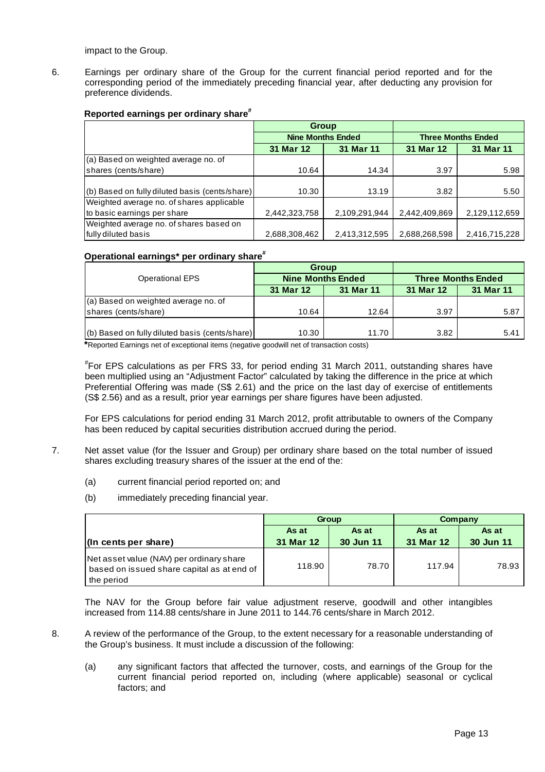impact to the Group.

6. Earnings per ordinary share of the Group for the current financial period reported and for the corresponding period of the immediately preceding financial year, after deducting any provision for preference dividends.

# **Reported earnings per ordinary share#**

|                                                |               | <b>Group</b>             |               |                           |  |
|------------------------------------------------|---------------|--------------------------|---------------|---------------------------|--|
|                                                |               | <b>Nine Months Ended</b> |               | <b>Three Months Ended</b> |  |
|                                                | 31 Mar 12     | 31 Mar 11                | 31 Mar 12     | 31 Mar 11                 |  |
| (a) Based on weighted average no. of           |               |                          |               |                           |  |
| shares (cents/share)                           | 10.64         | 14.34                    | 3.97          | 5.98                      |  |
|                                                |               |                          |               |                           |  |
| (b) Based on fully diluted basis (cents/share) | 10.30         | 13.19                    | 3.82          | 5.50                      |  |
| Weighted average no. of shares applicable      |               |                          |               |                           |  |
| to basic earnings per share                    | 2,442,323,758 | 2,109,291,944            | 2,442,409,869 | 2,129,112,659             |  |
| Weighted average no. of shares based on        |               |                          |               |                           |  |
| fully diluted basis                            | 2,688,308,462 | 2,413,312,595            | 2,688,268,598 | 2,416,715,228             |  |

# **Operational earnings\* per ordinary share#**

|                                                |           | <b>Group</b>             |                           |           |  |
|------------------------------------------------|-----------|--------------------------|---------------------------|-----------|--|
| <b>Operational EPS</b>                         |           | <b>Nine Months Ended</b> | <b>Three Months Ended</b> |           |  |
|                                                | 31 Mar 12 | 31 Mar 11                | 31 Mar 12                 | 31 Mar 11 |  |
| (a) Based on weighted average no. of           |           |                          |                           |           |  |
| shares (cents/share)                           | 10.64     | 12.64                    | 3.97                      | 5.87      |  |
|                                                |           |                          |                           |           |  |
| (b) Based on fully diluted basis (cents/share) | 10.30     | 11.70                    | 3.82                      | 5.41      |  |

**\***Reported Earnings net of exceptional items (negative goodwill net of transaction costs)

# For EPS calculations as per FRS 33, for period ending 31 March 2011, outstanding shares have been multiplied using an "Adjustment Factor" calculated by taking the difference in the price at which Preferential Offering was made (S\$ 2.61) and the price on the last day of exercise of entitlements (S\$ 2.56) and as a result, prior year earnings per share figures have been adjusted.

 For EPS calculations for period ending 31 March 2012, profit attributable to owners of the Company has been reduced by capital securities distribution accrued during the period.

- 7. Net asset value (for the Issuer and Group) per ordinary share based on the total number of issued shares excluding treasury shares of the issuer at the end of the:
	- (a) current financial period reported on; and
	- (b) immediately preceding financial year.

|                                                                                                      |                | Group     | Company   |           |  |
|------------------------------------------------------------------------------------------------------|----------------|-----------|-----------|-----------|--|
|                                                                                                      | As at<br>As at |           | As at     | As at     |  |
| $\vert$ (In cents per share)                                                                         | 31 Mar 12      | 30 Jun 11 | 31 Mar 12 | 30 Jun 11 |  |
| Net asset value (NAV) per ordinary share<br>based on issued share capital as at end of<br>the period | 118.90         | 78.70     | 117.94    | 78.93     |  |

The NAV for the Group before fair value adjustment reserve, goodwill and other intangibles increased from 114.88 cents/share in June 2011 to 144.76 cents/share in March 2012.

- 8. A review of the performance of the Group, to the extent necessary for a reasonable understanding of the Group's business. It must include a discussion of the following:
	- (a) any significant factors that affected the turnover, costs, and earnings of the Group for the current financial period reported on, including (where applicable) seasonal or cyclical factors; and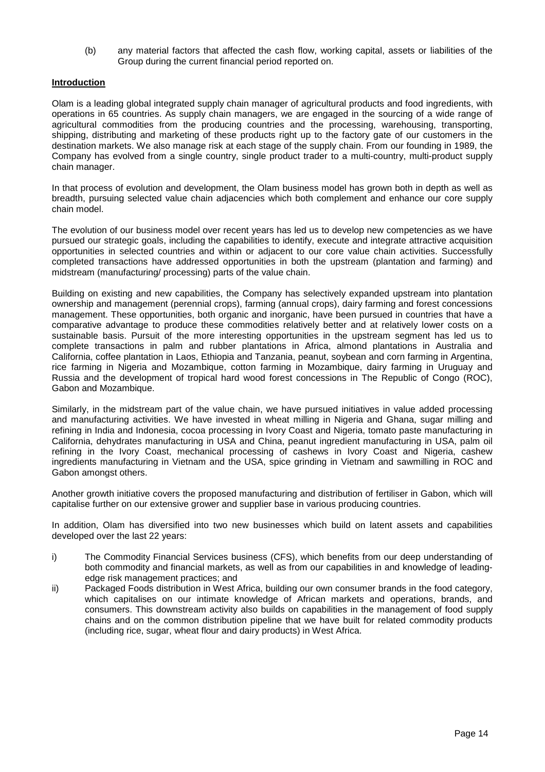(b) any material factors that affected the cash flow, working capital, assets or liabilities of the Group during the current financial period reported on.

# **Introduction**

Olam is a leading global integrated supply chain manager of agricultural products and food ingredients, with operations in 65 countries. As supply chain managers, we are engaged in the sourcing of a wide range of agricultural commodities from the producing countries and the processing, warehousing, transporting, shipping, distributing and marketing of these products right up to the factory gate of our customers in the destination markets. We also manage risk at each stage of the supply chain. From our founding in 1989, the Company has evolved from a single country, single product trader to a multi-country, multi-product supply chain manager.

In that process of evolution and development, the Olam business model has grown both in depth as well as breadth, pursuing selected value chain adjacencies which both complement and enhance our core supply chain model.

The evolution of our business model over recent years has led us to develop new competencies as we have pursued our strategic goals, including the capabilities to identify, execute and integrate attractive acquisition opportunities in selected countries and within or adjacent to our core value chain activities. Successfully completed transactions have addressed opportunities in both the upstream (plantation and farming) and midstream (manufacturing/ processing) parts of the value chain.

Building on existing and new capabilities, the Company has selectively expanded upstream into plantation ownership and management (perennial crops), farming (annual crops), dairy farming and forest concessions management. These opportunities, both organic and inorganic, have been pursued in countries that have a comparative advantage to produce these commodities relatively better and at relatively lower costs on a sustainable basis. Pursuit of the more interesting opportunities in the upstream segment has led us to complete transactions in palm and rubber plantations in Africa, almond plantations in Australia and California, coffee plantation in Laos, Ethiopia and Tanzania, peanut, soybean and corn farming in Argentina, rice farming in Nigeria and Mozambique, cotton farming in Mozambique, dairy farming in Uruguay and Russia and the development of tropical hard wood forest concessions in The Republic of Congo (ROC), Gabon and Mozambique.

Similarly, in the midstream part of the value chain, we have pursued initiatives in value added processing and manufacturing activities. We have invested in wheat milling in Nigeria and Ghana, sugar milling and refining in India and Indonesia, cocoa processing in Ivory Coast and Nigeria, tomato paste manufacturing in California, dehydrates manufacturing in USA and China, peanut ingredient manufacturing in USA, palm oil refining in the Ivory Coast, mechanical processing of cashews in Ivory Coast and Nigeria, cashew ingredients manufacturing in Vietnam and the USA, spice grinding in Vietnam and sawmilling in ROC and Gabon amongst others.

Another growth initiative covers the proposed manufacturing and distribution of fertiliser in Gabon, which will capitalise further on our extensive grower and supplier base in various producing countries.

In addition, Olam has diversified into two new businesses which build on latent assets and capabilities developed over the last 22 years:

- i) The Commodity Financial Services business (CFS), which benefits from our deep understanding of both commodity and financial markets, as well as from our capabilities in and knowledge of leadingedge risk management practices; and
- ii) Packaged Foods distribution in West Africa, building our own consumer brands in the food category, which capitalises on our intimate knowledge of African markets and operations, brands, and consumers. This downstream activity also builds on capabilities in the management of food supply chains and on the common distribution pipeline that we have built for related commodity products (including rice, sugar, wheat flour and dairy products) in West Africa.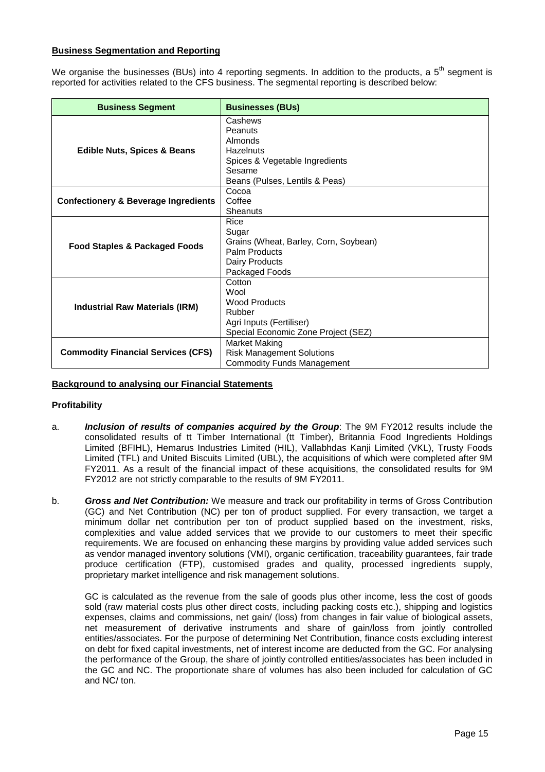# **Business Segmentation and Reporting**

We organise the businesses (BUs) into 4 reporting segments. In addition to the products, a  $5<sup>th</sup>$  segment is reported for activities related to the CFS business. The segmental reporting is described below:

| <b>Business Segment</b>                         | <b>Businesses (BUs)</b>                                                                                                         |
|-------------------------------------------------|---------------------------------------------------------------------------------------------------------------------------------|
| <b>Edible Nuts, Spices &amp; Beans</b>          | Cashews<br>Peanuts<br>Almonds<br><b>Hazelnuts</b><br>Spices & Vegetable Ingredients<br>Sesame<br>Beans (Pulses, Lentils & Peas) |
| <b>Confectionery &amp; Beverage Ingredients</b> | Cocoa<br>Coffee<br>Sheanuts                                                                                                     |
| <b>Food Staples &amp; Packaged Foods</b>        | Rice<br>Sugar<br>Grains (Wheat, Barley, Corn, Soybean)<br>Palm Products<br>Dairy Products<br>Packaged Foods                     |
| <b>Industrial Raw Materials (IRM)</b>           | Cotton<br>Wool<br><b>Wood Products</b><br>Rubber<br>Agri Inputs (Fertiliser)<br>Special Economic Zone Project (SEZ)             |
| <b>Commodity Financial Services (CFS)</b>       | <b>Market Making</b><br><b>Risk Management Solutions</b><br><b>Commodity Funds Management</b>                                   |

# **Background to analysing our Financial Statements**

#### **Profitability**

- a. **Inclusion of results of companies acquired by the Group**: The 9M FY2012 results include the consolidated results of tt Timber International (tt Timber), Britannia Food Ingredients Holdings Limited (BFIHL), Hemarus Industries Limited (HIL), Vallabhdas Kanji Limited (VKL), Trusty Foods Limited (TFL) and United Biscuits Limited (UBL), the acquisitions of which were completed after 9M FY2011. As a result of the financial impact of these acquisitions, the consolidated results for 9M FY2012 are not strictly comparable to the results of 9M FY2011.
- b. **Gross and Net Contribution:** We measure and track our profitability in terms of Gross Contribution (GC) and Net Contribution (NC) per ton of product supplied. For every transaction, we target a minimum dollar net contribution per ton of product supplied based on the investment, risks, complexities and value added services that we provide to our customers to meet their specific requirements. We are focused on enhancing these margins by providing value added services such as vendor managed inventory solutions (VMI), organic certification, traceability guarantees, fair trade produce certification (FTP), customised grades and quality, processed ingredients supply, proprietary market intelligence and risk management solutions.

GC is calculated as the revenue from the sale of goods plus other income, less the cost of goods sold (raw material costs plus other direct costs, including packing costs etc.), shipping and logistics expenses, claims and commissions, net gain/ (loss) from changes in fair value of biological assets, net measurement of derivative instruments and share of gain/loss from jointly controlled entities/associates. For the purpose of determining Net Contribution, finance costs excluding interest on debt for fixed capital investments, net of interest income are deducted from the GC. For analysing the performance of the Group, the share of jointly controlled entities/associates has been included in the GC and NC. The proportionate share of volumes has also been included for calculation of GC and NC/ ton.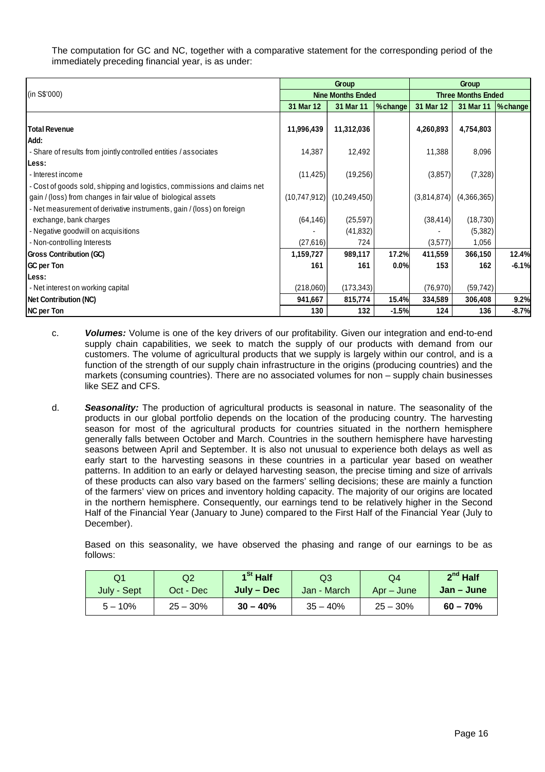The computation for GC and NC, together with a comparative statement for the corresponding period of the immediately preceding financial year, is as under:

|                                                                          |              | <b>Group</b>             |         | <b>Group</b> |                           |          |  |
|--------------------------------------------------------------------------|--------------|--------------------------|---------|--------------|---------------------------|----------|--|
| (in S\$'000)                                                             |              | <b>Nine Months Ended</b> |         |              | <b>Three Months Ended</b> |          |  |
|                                                                          | 31 Mar 12    | 31 Mar 11                | %change | 31 Mar 12    | 31 Mar 11                 | % change |  |
|                                                                          |              |                          |         |              |                           |          |  |
| <b>Total Revenue</b>                                                     | 11,996,439   | 11,312,036               |         | 4,260,893    | 4,754,803                 |          |  |
| Add:                                                                     |              |                          |         |              |                           |          |  |
| - Share of results from jointly controlled entities / associates         | 14,387       | 12,492                   |         | 11,388       | 8,096                     |          |  |
| Less:                                                                    |              |                          |         |              |                           |          |  |
| - Interest income                                                        | (11, 425)    | (19, 256)                |         | (3,857)      | (7, 328)                  |          |  |
| - Cost of goods sold, shipping and logistics, commissions and claims net |              |                          |         |              |                           |          |  |
| gain / (loss) from changes in fair value of biological assets            | (10,747,912) | (10, 249, 450)           |         | (3,814,874)  | (4,366,365)               |          |  |
| - Net measurement of derivative instruments, gain / (loss) on foreign    |              |                          |         |              |                           |          |  |
| exchange, bank charges                                                   | (64, 146)    | (25, 597)                |         | (38, 414)    | (18, 730)                 |          |  |
| - Negative goodwill on acquisitions                                      |              | (41, 832)                |         |              | (5,382)                   |          |  |
| - Non-controlling Interests                                              | (27,616)     | 724                      |         | (3,577)      | 1,056                     |          |  |
| <b>Gross Contribution (GC)</b>                                           | 1,159,727    | 989,117                  | 17.2%   | 411,559      | 366,150                   | 12.4%    |  |
| GC per Ton                                                               | 161          | 161                      | 0.0%    | 153          | 162                       | $-6.1%$  |  |
| Less:                                                                    |              |                          |         |              |                           |          |  |
| - Net interest on working capital                                        | (218,060)    | (173, 343)               |         | (76, 970)    | (59, 742)                 |          |  |
| <b>Net Contribution (NC)</b>                                             | 941,667      | 815,774                  | 15.4%   | 334,589      | 306,408                   | 9.2%     |  |
| <b>NC per Ton</b>                                                        | 130          | 132                      | $-1.5%$ | 124          | 136                       | $-8.7%$  |  |

- c. **Volumes:** Volume is one of the key drivers of our profitability. Given our integration and end-to-end supply chain capabilities, we seek to match the supply of our products with demand from our customers. The volume of agricultural products that we supply is largely within our control, and is a function of the strength of our supply chain infrastructure in the origins (producing countries) and the markets (consuming countries). There are no associated volumes for non – supply chain businesses like SEZ and CFS.
- d. **Seasonality:** The production of agricultural products is seasonal in nature. The seasonality of the products in our global portfolio depends on the location of the producing country. The harvesting season for most of the agricultural products for countries situated in the northern hemisphere generally falls between October and March. Countries in the southern hemisphere have harvesting seasons between April and September. It is also not unusual to experience both delays as well as early start to the harvesting seasons in these countries in a particular year based on weather patterns. In addition to an early or delayed harvesting season, the precise timing and size of arrivals of these products can also vary based on the farmers' selling decisions; these are mainly a function of the farmers' view on prices and inventory holding capacity. The majority of our origins are located in the northern hemisphere. Consequently, our earnings tend to be relatively higher in the Second Half of the Financial Year (January to June) compared to the First Half of the Financial Year (July to December).

 Based on this seasonality, we have observed the phasing and range of our earnings to be as follows:

| Q1          | Q2          | 1 <sup>St</sup> Half | Q3          | Q4         | $2^{nd}$ Half |
|-------------|-------------|----------------------|-------------|------------|---------------|
| July - Sept | Oct - Dec   | July – Dec           | Jan - March | Apr – June | Jan – June    |
| $5 - 10%$   | $25 - 30\%$ | $30 - 40%$           | $35 - 40%$  | $25 - 30%$ | $60 - 70%$    |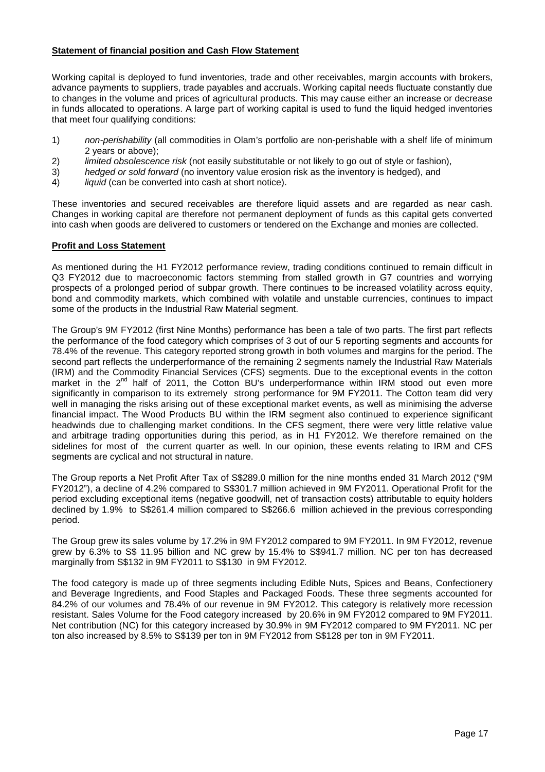# **Statement of financial position and Cash Flow Statement**

Working capital is deployed to fund inventories, trade and other receivables, margin accounts with brokers, advance payments to suppliers, trade payables and accruals. Working capital needs fluctuate constantly due to changes in the volume and prices of agricultural products. This may cause either an increase or decrease in funds allocated to operations. A large part of working capital is used to fund the liquid hedged inventories that meet four qualifying conditions:

- 1) non-perishability (all commodities in Olam's portfolio are non-perishable with a shelf life of minimum 2 years or above);
- 2) limited obsolescence risk (not easily substitutable or not likely to go out of style or fashion),
- 3) hedged or sold forward (no inventory value erosion risk as the inventory is hedged), and
- 4) liquid (can be converted into cash at short notice).

These inventories and secured receivables are therefore liquid assets and are regarded as near cash. Changes in working capital are therefore not permanent deployment of funds as this capital gets converted into cash when goods are delivered to customers or tendered on the Exchange and monies are collected.

# **Profit and Loss Statement**

As mentioned during the H1 FY2012 performance review, trading conditions continued to remain difficult in Q3 FY2012 due to macroeconomic factors stemming from stalled growth in G7 countries and worrying prospects of a prolonged period of subpar growth. There continues to be increased volatility across equity, bond and commodity markets, which combined with volatile and unstable currencies, continues to impact some of the products in the Industrial Raw Material segment.

The Group's 9M FY2012 (first Nine Months) performance has been a tale of two parts. The first part reflects the performance of the food category which comprises of 3 out of our 5 reporting segments and accounts for 78.4% of the revenue. This category reported strong growth in both volumes and margins for the period. The second part reflects the underperformance of the remaining 2 segments namely the Industrial Raw Materials (IRM) and the Commodity Financial Services (CFS) segments. Due to the exceptional events in the cotton market in the  $2^{nd}$  half of 2011, the Cotton BU's underperformance within IRM stood out even more significantly in comparison to its extremely strong performance for 9M FY2011. The Cotton team did very well in managing the risks arising out of these exceptional market events, as well as minimising the adverse financial impact. The Wood Products BU within the IRM segment also continued to experience significant headwinds due to challenging market conditions. In the CFS segment, there were very little relative value and arbitrage trading opportunities during this period, as in H1 FY2012. We therefore remained on the sidelines for most of the current quarter as well. In our opinion, these events relating to IRM and CFS segments are cyclical and not structural in nature.

The Group reports a Net Profit After Tax of S\$289.0 million for the nine months ended 31 March 2012 ("9M FY2012"), a decline of 4.2% compared to S\$301.7 million achieved in 9M FY2011. Operational Profit for the period excluding exceptional items (negative goodwill, net of transaction costs) attributable to equity holders declined by 1.9% to S\$261.4 million compared to S\$266.6 million achieved in the previous corresponding period.

The Group grew its sales volume by 17.2% in 9M FY2012 compared to 9M FY2011. In 9M FY2012, revenue grew by 6.3% to S\$ 11.95 billion and NC grew by 15.4% to S\$941.7 million. NC per ton has decreased marginally from S\$132 in 9M FY2011 to S\$130 in 9M FY2012.

The food category is made up of three segments including Edible Nuts, Spices and Beans, Confectionery and Beverage Ingredients, and Food Staples and Packaged Foods. These three segments accounted for 84.2% of our volumes and 78.4% of our revenue in 9M FY2012. This category is relatively more recession resistant. Sales Volume for the Food category increased by 20.6% in 9M FY2012 compared to 9M FY2011. Net contribution (NC) for this category increased by 30.9% in 9M FY2012 compared to 9M FY2011. NC per ton also increased by 8.5% to S\$139 per ton in 9M FY2012 from S\$128 per ton in 9M FY2011.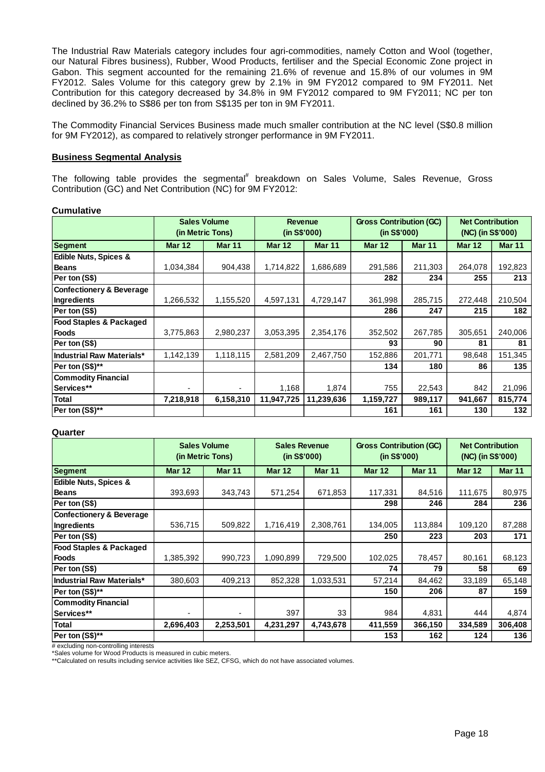The Industrial Raw Materials category includes four agri-commodities, namely Cotton and Wool (together, our Natural Fibres business), Rubber, Wood Products, fertiliser and the Special Economic Zone project in Gabon. This segment accounted for the remaining 21.6% of revenue and 15.8% of our volumes in 9M FY2012. Sales Volume for this category grew by 2.1% in 9M FY2012 compared to 9M FY2011. Net Contribution for this category decreased by 34.8% in 9M FY2012 compared to 9M FY2011; NC per ton declined by 36.2% to S\$86 per ton from S\$135 per ton in 9M FY2011.

The Commodity Financial Services Business made much smaller contribution at the NC level (S\$0.8 million for 9M FY2012), as compared to relatively stronger performance in 9M FY2011.

### **Business Segmental Analysis**

The following table provides the segmental<sup>#</sup> breakdown on Sales Volume, Sales Revenue, Gross Contribution (GC) and Net Contribution (NC) for 9M FY2012:

#### **Cumulative**

|                                     |               | <b>Sales Volume</b><br>(in Metric Tons) | <b>Revenue</b><br>(in S\$'000) |               | <b>Gross Contribution (GC)</b><br>(in S\$'000) |               | <b>Net Contribution</b><br>(NC) (in S\$'000) |               |
|-------------------------------------|---------------|-----------------------------------------|--------------------------------|---------------|------------------------------------------------|---------------|----------------------------------------------|---------------|
| Segment                             | <b>Mar 12</b> | <b>Mar 11</b>                           | <b>Mar 12</b>                  | <b>Mar 11</b> | <b>Mar 12</b>                                  | <b>Mar 11</b> | <b>Mar 12</b>                                | <b>Mar 11</b> |
| <b>Edible Nuts, Spices &amp;</b>    |               |                                         |                                |               |                                                |               |                                              |               |
| <b>Beans</b>                        | 1,034,384     | 904,438                                 | 1,714,822                      | 1,686,689     | 291,586                                        | 211,303       | 264,078                                      | 192,823       |
| Per ton (S\$)                       |               |                                         |                                |               | 282                                            | 234           | 255                                          | 213           |
| <b>Confectionery &amp; Beverage</b> |               |                                         |                                |               |                                                |               |                                              |               |
| Ingredients                         | 1,266,532     | 1,155,520                               | 4,597,131                      | 4,729,147     | 361,998                                        | 285,715       | 272,448                                      | 210,504       |
| Per ton (S\$)                       |               |                                         |                                |               | 286                                            | 247           | 215                                          | 182           |
| <b>Food Staples &amp; Packaged</b>  |               |                                         |                                |               |                                                |               |                                              |               |
| <b>Foods</b>                        | 3,775,863     | 2,980,237                               | 3,053,395                      | 2,354,176     | 352,502                                        | 267,785       | 305,651                                      | 240,006       |
| Per ton (S\$)                       |               |                                         |                                |               | 93                                             | 90            | 81                                           | 81            |
| <b>Industrial Raw Materials*</b>    | 1,142,139     | 1,118,115                               | 2,581,209                      | 2,467,750     | 152,886                                        | 201,771       | 98,648                                       | 151,345       |
| Per ton (S\$)**                     |               |                                         |                                |               | 134                                            | 180           | 86                                           | 135           |
| <b>Commodity Financial</b>          |               |                                         |                                |               |                                                |               |                                              |               |
| Services**                          | ۰             |                                         | 1,168                          | 1,874         | 755                                            | 22,543        | 842                                          | 21,096        |
| <b>Total</b>                        | 7,218,918     | 6,158,310                               | 11,947,725                     | 11,239,636    | 1,159,727                                      | 989,117       | 941,667                                      | 815,774       |
| Per ton (S\$)**                     |               |                                         |                                |               | 161                                            | 161           | 130                                          | 132           |

#### **Quarter**

|                                     | <b>Sales Volume</b><br>(in Metric Tons) |               | <b>Sales Revenue</b><br>(in S\$'000) |               | <b>Gross Contribution (GC)</b><br>(in S\$'000) |               | <b>Net Contribution</b><br>(NC) (in S\$'000) |               |
|-------------------------------------|-----------------------------------------|---------------|--------------------------------------|---------------|------------------------------------------------|---------------|----------------------------------------------|---------------|
| <b>Segment</b>                      | <b>Mar 12</b>                           | <b>Mar 11</b> | <b>Mar 12</b>                        | <b>Mar 11</b> | <b>Mar 12</b>                                  | <b>Mar 11</b> | <b>Mar 12</b>                                | <b>Mar 11</b> |
| <b>Edible Nuts, Spices &amp;</b>    |                                         |               |                                      |               |                                                |               |                                              |               |
| <b>Beans</b>                        | 393,693                                 | 343,743       | 571,254                              | 671,853       | 117,331                                        | 84,516        | 111,675                                      | 80,975        |
| Per ton (S\$)                       |                                         |               |                                      |               | 298                                            | 246           | 284                                          | 236           |
| <b>Confectionery &amp; Beverage</b> |                                         |               |                                      |               |                                                |               |                                              |               |
| Ingredients                         | 536,715                                 | 509,822       | 1,716,419                            | 2,308,761     | 134,005                                        | 113,884       | 109,120                                      | 87,288        |
| Per ton (S\$)                       |                                         |               |                                      |               | 250                                            | 223           | 203                                          | 171           |
| <b>Food Staples &amp; Packaged</b>  |                                         |               |                                      |               |                                                |               |                                              |               |
| <b>Foods</b>                        | 1,385,392                               | 990,723       | 1,090,899                            | 729,500       | 102,025                                        | 78,457        | 80,161                                       | 68,123        |
| Per ton (S\$)                       |                                         |               |                                      |               | 74                                             | 79            | 58                                           | 69            |
| Industrial Raw Materials*           | 380,603                                 | 409,213       | 852,328                              | 1,033,531     | 57,214                                         | 84,462        | 33,189                                       | 65,148        |
| Per ton (S\$)**                     |                                         |               |                                      |               | 150                                            | 206           | 87                                           | 159           |
| <b>Commodity Financial</b>          |                                         |               |                                      |               |                                                |               |                                              |               |
| Services**                          |                                         |               | 397                                  | 33            | 984                                            | 4,831         | 444                                          | 4,874         |
| <b>Total</b>                        | 2,696,403                               | 2,253,501     | 4,231,297                            | 4,743,678     | 411,559                                        | 366,150       | 334,589                                      | 306,408       |
| Per ton (S\$)**                     |                                         |               |                                      |               | 153                                            | 162           | 124                                          | 136           |

# excluding non-controlling interests

\*Sales volume for Wood Products is measured in cubic meters.

\*\*Calculated on results including service activities like SEZ, CFSG, which do not have associated volumes.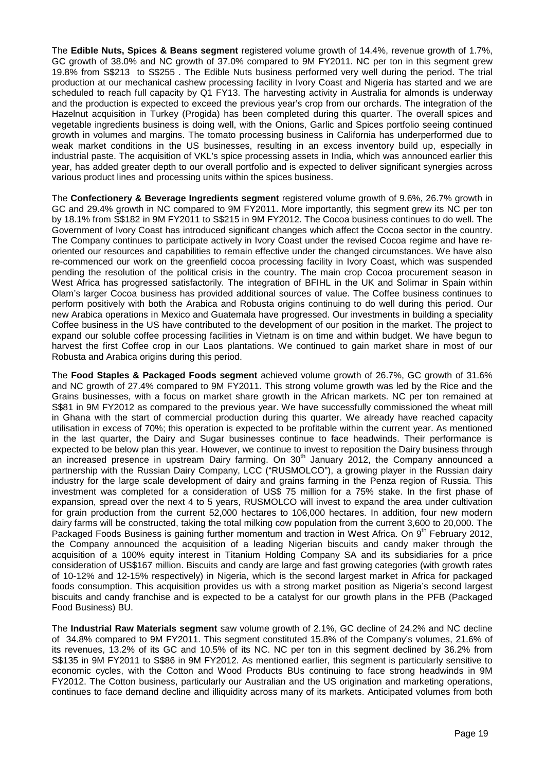The **Edible Nuts, Spices & Beans segment** registered volume growth of 14.4%, revenue growth of 1.7%, GC growth of 38.0% and NC growth of 37.0% compared to 9M FY2011. NC per ton in this segment grew 19.8% from S\$213 to S\$255 . The Edible Nuts business performed very well during the period. The trial production at our mechanical cashew processing facility in Ivory Coast and Nigeria has started and we are scheduled to reach full capacity by Q1 FY13. The harvesting activity in Australia for almonds is underway and the production is expected to exceed the previous year's crop from our orchards. The integration of the Hazelnut acquisition in Turkey (Progida) has been completed during this quarter. The overall spices and vegetable ingredients business is doing well, with the Onions, Garlic and Spices portfolio seeing continued growth in volumes and margins. The tomato processing business in California has underperformed due to weak market conditions in the US businesses, resulting in an excess inventory build up, especially in industrial paste. The acquisition of VKL's spice processing assets in India, which was announced earlier this year, has added greater depth to our overall portfolio and is expected to deliver significant synergies across various product lines and processing units within the spices business.

The **Confectionery & Beverage Ingredients segment** registered volume growth of 9.6%, 26.7% growth in GC and 29.4% growth in NC compared to 9M FY2011. More importantly, this segment grew its NC per ton by 18.1% from S\$182 in 9M FY2011 to S\$215 in 9M FY2012. The Cocoa business continues to do well. The Government of Ivory Coast has introduced significant changes which affect the Cocoa sector in the country. The Company continues to participate actively in Ivory Coast under the revised Cocoa regime and have reoriented our resources and capabilities to remain effective under the changed circumstances. We have also re-commenced our work on the greenfield cocoa processing facility in Ivory Coast, which was suspended pending the resolution of the political crisis in the country. The main crop Cocoa procurement season in West Africa has progressed satisfactorily. The integration of BFIHL in the UK and Solimar in Spain within Olam's larger Cocoa business has provided additional sources of value. The Coffee business continues to perform positively with both the Arabica and Robusta origins continuing to do well during this period. Our new Arabica operations in Mexico and Guatemala have progressed. Our investments in building a speciality Coffee business in the US have contributed to the development of our position in the market. The project to expand our soluble coffee processing facilities in Vietnam is on time and within budget. We have begun to harvest the first Coffee crop in our Laos plantations. We continued to gain market share in most of our Robusta and Arabica origins during this period.

The **Food Staples & Packaged Foods segment** achieved volume growth of 26.7%, GC growth of 31.6% and NC growth of 27.4% compared to 9M FY2011. This strong volume growth was led by the Rice and the Grains businesses, with a focus on market share growth in the African markets. NC per ton remained at S\$81 in 9M FY2012 as compared to the previous year. We have successfully commissioned the wheat mill in Ghana with the start of commercial production during this quarter. We already have reached capacity utilisation in excess of 70%; this operation is expected to be profitable within the current year. As mentioned in the last quarter, the Dairy and Sugar businesses continue to face headwinds. Their performance is expected to be below plan this year. However, we continue to invest to reposition the Dairy business through an increased presence in upstream Dairy farming. On 30<sup>th</sup> January 2012, the Company announced a partnership with the Russian Dairy Company, LCC ("RUSMOLCO"), a growing player in the Russian dairy industry for the large scale development of dairy and grains farming in the Penza region of Russia. This investment was completed for a consideration of US\$ 75 million for a 75% stake. In the first phase of expansion, spread over the next 4 to 5 years, RUSMOLCO will invest to expand the area under cultivation for grain production from the current 52,000 hectares to 106,000 hectares. In addition, four new modern dairy farms will be constructed, taking the total milking cow population from the current 3,600 to 20,000. The Packaged Foods Business is gaining further momentum and traction in West Africa. On 9<sup>th</sup> February 2012, the Company announced the acquisition of a leading Nigerian biscuits and candy maker through the acquisition of a 100% equity interest in Titanium Holding Company SA and its subsidiaries for a price consideration of US\$167 million. Biscuits and candy are large and fast growing categories (with growth rates of 10-12% and 12-15% respectively) in Nigeria, which is the second largest market in Africa for packaged foods consumption. This acquisition provides us with a strong market position as Nigeria's second largest biscuits and candy franchise and is expected to be a catalyst for our growth plans in the PFB (Packaged Food Business) BU.

The **Industrial Raw Materials segment** saw volume growth of 2.1%, GC decline of 24.2% and NC decline of 34.8% compared to 9M FY2011. This segment constituted 15.8% of the Company's volumes, 21.6% of its revenues, 13.2% of its GC and 10.5% of its NC. NC per ton in this segment declined by 36.2% from S\$135 in 9M FY2011 to S\$86 in 9M FY2012. As mentioned earlier, this segment is particularly sensitive to economic cycles, with the Cotton and Wood Products BUs continuing to face strong headwinds in 9M FY2012. The Cotton business, particularly our Australian and the US origination and marketing operations, continues to face demand decline and illiquidity across many of its markets. Anticipated volumes from both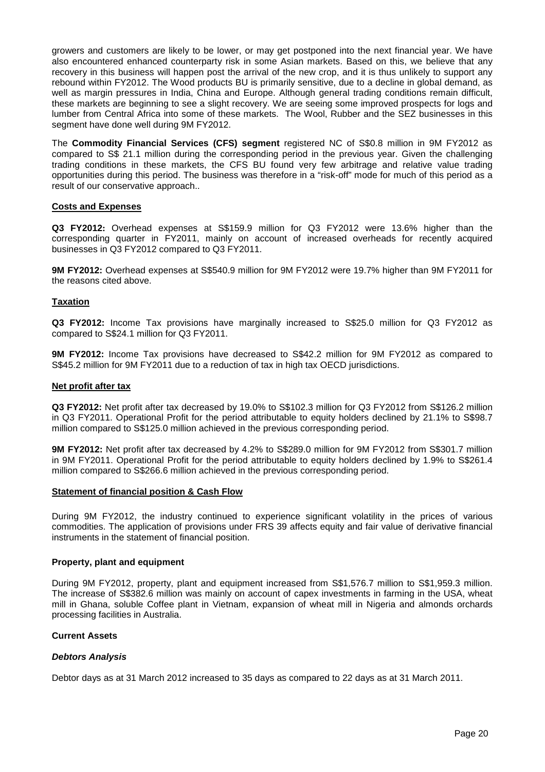growers and customers are likely to be lower, or may get postponed into the next financial year. We have also encountered enhanced counterparty risk in some Asian markets. Based on this, we believe that any recovery in this business will happen post the arrival of the new crop, and it is thus unlikely to support any rebound within FY2012. The Wood products BU is primarily sensitive, due to a decline in global demand, as well as margin pressures in India, China and Europe. Although general trading conditions remain difficult, these markets are beginning to see a slight recovery. We are seeing some improved prospects for logs and lumber from Central Africa into some of these markets. The Wool, Rubber and the SEZ businesses in this segment have done well during 9M FY2012.

The **Commodity Financial Services (CFS) segment** registered NC of S\$0.8 million in 9M FY2012 as compared to S\$ 21.1 million during the corresponding period in the previous year. Given the challenging trading conditions in these markets, the CFS BU found very few arbitrage and relative value trading opportunities during this period. The business was therefore in a "risk-off" mode for much of this period as a result of our conservative approach..

# **Costs and Expenses**

**Q3 FY2012:** Overhead expenses at S\$159.9 million for Q3 FY2012 were 13.6% higher than the corresponding quarter in FY2011, mainly on account of increased overheads for recently acquired businesses in Q3 FY2012 compared to Q3 FY2011.

**9M FY2012:** Overhead expenses at S\$540.9 million for 9M FY2012 were 19.7% higher than 9M FY2011 for the reasons cited above.

# **Taxation**

**Q3 FY2012:** Income Tax provisions have marginally increased to S\$25.0 million for Q3 FY2012 as compared to S\$24.1 million for Q3 FY2011.

**9M FY2012:** Income Tax provisions have decreased to S\$42.2 million for 9M FY2012 as compared to S\$45.2 million for 9M FY2011 due to a reduction of tax in high tax OECD jurisdictions.

## **Net profit after tax**

**Q3 FY2012:** Net profit after tax decreased by 19.0% to S\$102.3 million for Q3 FY2012 from S\$126.2 million in Q3 FY2011. Operational Profit for the period attributable to equity holders declined by 21.1% to S\$98.7 million compared to S\$125.0 million achieved in the previous corresponding period.

**9M FY2012:** Net profit after tax decreased by 4.2% to S\$289.0 million for 9M FY2012 from S\$301.7 million in 9M FY2011. Operational Profit for the period attributable to equity holders declined by 1.9% to S\$261.4 million compared to S\$266.6 million achieved in the previous corresponding period.

#### **Statement of financial position & Cash Flow**

During 9M FY2012, the industry continued to experience significant volatility in the prices of various commodities. The application of provisions under FRS 39 affects equity and fair value of derivative financial instruments in the statement of financial position.

#### **Property, plant and equipment**

During 9M FY2012, property, plant and equipment increased from S\$1,576.7 million to S\$1,959.3 million. The increase of S\$382.6 million was mainly on account of capex investments in farming in the USA, wheat mill in Ghana, soluble Coffee plant in Vietnam, expansion of wheat mill in Nigeria and almonds orchards processing facilities in Australia.

## **Current Assets**

#### **Debtors Analysis**

Debtor days as at 31 March 2012 increased to 35 days as compared to 22 days as at 31 March 2011.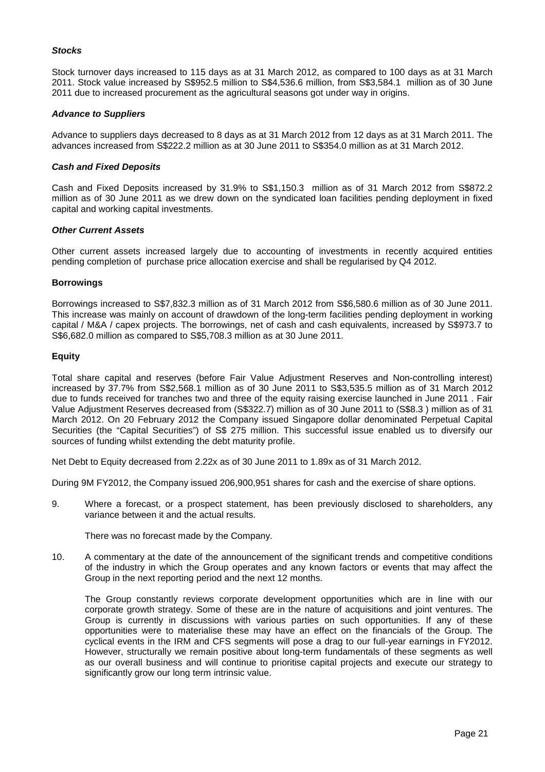# **Stocks**

Stock turnover days increased to 115 days as at 31 March 2012, as compared to 100 days as at 31 March 2011. Stock value increased by S\$952.5 million to S\$4,536.6 million, from S\$3,584.1 million as of 30 June 2011 due to increased procurement as the agricultural seasons got under way in origins.

# **Advance to Suppliers**

Advance to suppliers days decreased to 8 days as at 31 March 2012 from 12 days as at 31 March 2011. The advances increased from S\$222.2 million as at 30 June 2011 to S\$354.0 million as at 31 March 2012.

### **Cash and Fixed Deposits**

Cash and Fixed Deposits increased by 31.9% to S\$1,150.3 million as of 31 March 2012 from S\$872.2 million as of 30 June 2011 as we drew down on the syndicated loan facilities pending deployment in fixed capital and working capital investments.

#### **Other Current Assets**

Other current assets increased largely due to accounting of investments in recently acquired entities pending completion of purchase price allocation exercise and shall be regularised by Q4 2012.

# **Borrowings**

Borrowings increased to S\$7,832.3 million as of 31 March 2012 from S\$6,580.6 million as of 30 June 2011. This increase was mainly on account of drawdown of the long-term facilities pending deployment in working capital / M&A / capex projects. The borrowings, net of cash and cash equivalents, increased by S\$973.7 to S\$6,682.0 million as compared to S\$5,708.3 million as at 30 June 2011.

# **Equity**

Total share capital and reserves (before Fair Value Adjustment Reserves and Non-controlling interest) increased by 37.7% from S\$2,568.1 million as of 30 June 2011 to S\$3,535.5 million as of 31 March 2012 due to funds received for tranches two and three of the equity raising exercise launched in June 2011 . Fair Value Adjustment Reserves decreased from (S\$322.7) million as of 30 June 2011 to (S\$8.3 ) million as of 31 March 2012. On 20 February 2012 the Company issued Singapore dollar denominated Perpetual Capital Securities (the "Capital Securities") of S\$ 275 million. This successful issue enabled us to diversify our sources of funding whilst extending the debt maturity profile.

Net Debt to Equity decreased from 2.22x as of 30 June 2011 to 1.89x as of 31 March 2012.

During 9M FY2012, the Company issued 206,900,951 shares for cash and the exercise of share options.

9. Where a forecast, or a prospect statement, has been previously disclosed to shareholders, any variance between it and the actual results.

There was no forecast made by the Company.

10. A commentary at the date of the announcement of the significant trends and competitive conditions of the industry in which the Group operates and any known factors or events that may affect the Group in the next reporting period and the next 12 months.

The Group constantly reviews corporate development opportunities which are in line with our corporate growth strategy. Some of these are in the nature of acquisitions and joint ventures. The Group is currently in discussions with various parties on such opportunities. If any of these opportunities were to materialise these may have an effect on the financials of the Group. The cyclical events in the IRM and CFS segments will pose a drag to our full-year earnings in FY2012. However, structurally we remain positive about long-term fundamentals of these segments as well as our overall business and will continue to prioritise capital projects and execute our strategy to significantly grow our long term intrinsic value.